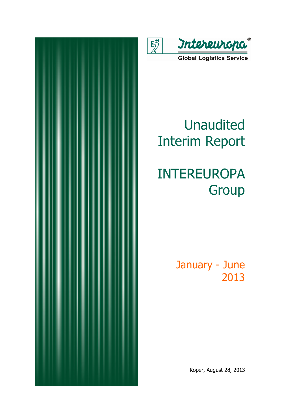

 $\overline{\mathbb{R}}$ 

**Global Logistics Service** 

# Unaudited Interim Report

# INTEREUROPA **Group**

January - June 2013

Koper, August 28, 2013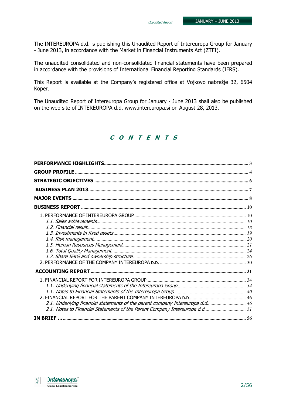The INTEREUROPA d.d. is publishing this Unaudited Report of Intereuropa Group for January - June 2013, in accordance with the Market in Financial Instruments Act (ZTFI).

The unaudited consolidated and non-consolidated financial statements have been prepared in accordance with the provisions of International Financial Reporting Standards (IFRS).

This Report is available at the Company's registered office at Vojkovo nabrežje 32, 6504 Koper.

The Unaudited Report of Intereuropa Group for January - June 2013 shall also be published on the web site of INTEREUROPA d.d. www.intereuropa.si on August 28, 2013.

# C O N T E N T S

| 2.1. Underlying financial statements of the parent company Intereuropa d.d 46 |  |
|-------------------------------------------------------------------------------|--|
|                                                                               |  |
|                                                                               |  |

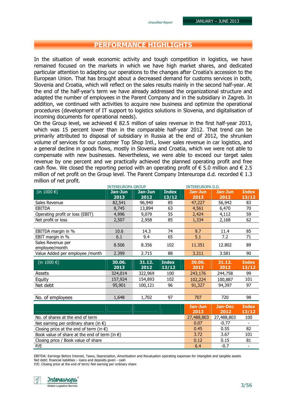#### PERFORMANCE HIGHLIGHTS

In the situation of weak economic activity and tough competition in logistics, we have remained focused on the markets in which we have high market shares, and dedicated particular attention to adapting our operations to the changes after Croatia's accession to the European Union. That has brought about a decreased demand for customs services in both, Slovenia and Croatia, which will reflect on the sales results mainly in the second half-year. At the end of the half-year's term we have already addressed the organizational structure and adapted the number of employees in the Parent Company and in the subsidiary in Zagreb. In addition, we continued with activities to acquire new business and optimize the operational procedures (development of IT support to logistics solutions in Slovenia, and digitalisation of incoming documents for operational needs).

On the Group level, we achieved  $\epsilon$  82.5 million of sales revenue in the first half-year 2013, which was 15 percent lower than in the comparable half-year 2012. That trend can be primarily attributed to disposal of subsidiary in Russia at the end of 2012, the shrunken volume of services for our customer Top Shop Intl., lower sales revenue in car logistics, and a general decline in goods flows, mostly in Slovenia and Croatia, which we were not able to compensate with new businesses. Nevertheless, we were able to exceed our target sales revenue by one percent and we practically achieved the planned operating profit and free cash flow. We closed the reporting period with an operating profit of  $\epsilon$  5.0 million and  $\epsilon$  2.5 million of net profit on the Group level. The Parent Company Intereuropa d.d. recorded  $\in 1.3$ million of net profit.

|                                                                                     | <b>INTEREUROPA GROUP</b> |         |              | INTEREUROPA D.D. |                |              |  |
|-------------------------------------------------------------------------------------|--------------------------|---------|--------------|------------------|----------------|--------------|--|
| (in 1000 $\epsilon$ )                                                               | Jan-Jun                  | Jan-Jun | <b>Index</b> | Jan-Jun          | Jan-Jun        | <b>Index</b> |  |
|                                                                                     | 2013                     | 2012    | 13/12        | 2013             | 2012           | 13/12        |  |
| Sales Revenue                                                                       | 82,541                   | 96,940  | 85           | 47,227           | 56,942         | 83           |  |
| <b>EBITDA</b>                                                                       | 8,745                    | 13,894  | 63           | 4,561            | 6,470          | 70           |  |
| Operating profit or loss (EBIT)                                                     | 4,996                    | 9,079   | 55           | 2,424            | 4,112          | 59           |  |
| Net profit or loss                                                                  | 2,507                    | 2,958   | 85           | 1,334            | 2,168          | 62           |  |
|                                                                                     |                          |         |              |                  |                |              |  |
| EBITDA margin in %                                                                  | 10.6                     | 14.3    | 74           | 9.7              | 11.4           | 85           |  |
| EBIT margin in %                                                                    | 6.1                      | 9.4     | 65           | 5.1              | 7.2            | 71           |  |
| Sales Revenue per                                                                   |                          |         |              |                  |                | 89           |  |
| employee/month                                                                      | 8.506                    | 8.356   | 102          | 11.351           | 12.802         |              |  |
| Value Added per employee / month                                                    | 2.399                    | 2.715   | 88           | 3.211            | 3.581          | 90           |  |
|                                                                                     | 30.06.                   |         |              |                  |                | <b>Index</b> |  |
| (in 1000 $\epsilon$ )                                                               |                          | 31.12.  | <b>Index</b> | 30.06.           | 31.12.         | 13/12        |  |
|                                                                                     |                          |         |              |                  |                |              |  |
|                                                                                     | 2013                     | 2012    | 13/12        | 2013             | 2012           |              |  |
| Assets                                                                              | 324,014                  | 322,969 | 100          | 243,176          | 244,758        | 99           |  |
| Equity                                                                              | 157,924                  | 154,893 | 102          | 102,224          | 100,887        | 101          |  |
| Net debt                                                                            | 95,901                   | 100,121 | 96           | 91,327           | 94,397         | 97           |  |
| No. of employees                                                                    | 1,648                    | 1,702   | 97           | 707              | 720            | 98           |  |
|                                                                                     |                          |         |              |                  |                |              |  |
|                                                                                     |                          |         |              | Jan-Jun          | <b>Jan-Dec</b> | <b>Index</b> |  |
|                                                                                     |                          |         |              | 2013             | 2012           | 13/12        |  |
| No. of shares at the end of term<br>Net earning per ordinary share (in $\epsilon$ ) |                          |         |              | 27,488,803       | 27,488,803     | 100          |  |

Closing price / Book value of share 0.12 0.15 81 P/E 6.4 -0.7 -

EBITDA: Earnings Before Interest, Taxes, Depreciation, Amortisation and Revaluation operating expenses for intangible and tangible assets Net debt: financial liabilities – loans and deposits given - cash

Closing price at the end of term (in  $\epsilon$ ) 0.45 0.55 82 Book value of share at the end of term (in  $\epsilon$ ) 3.72 3.67 101

P/E: Closing price at the end of term/ Net earning per ordinary share

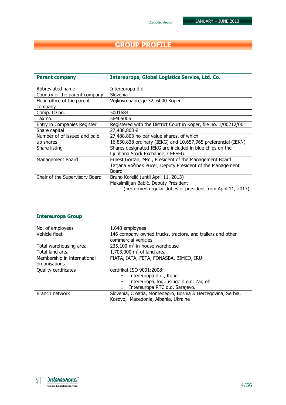# GROUP PROFILE

| <b>Parent company</b>          | Intereuropa, Global Logistics Service, Ltd. Co.                  |
|--------------------------------|------------------------------------------------------------------|
| Abbreviated name               | Intereuropa d.d.                                                 |
| Country of the parent company  | Slovenia                                                         |
| Head office of the parent      | Vojkovo nabrežje 32, 6000 Koper                                  |
| company                        |                                                                  |
| Comp. ID no.                   | 5001684                                                          |
| Tax no.                        | 56405006                                                         |
| Entry in Companies Register    | Registered with the District Court in Koper, file no. 1/00212/00 |
| Share capital                  | 27,488,803 €                                                     |
| Number of of issued and paid-  | 27,488,803 no-par value shares, of which                         |
| up shares                      | 16,830,838 ordinary (IEKG) and 10,657,965 preferencial (IEKN)    |
| Share listing                  | Shares designated IEKG are included in blue chips on the         |
|                                | Ljubljana Stock Exchange, CEESEG.                                |
| Management Board               | Ernest Gortan, Msc., President of the Management Board           |
|                                | Tatjana Vošinek Pucer, Deputy President of the Management        |
|                                | Board                                                            |
| Chair of the Supervisory Board | Bruno Korelič (until April 11, 2013)                             |
|                                | Maksimilijan Babič, Deputy President                             |
|                                | (performed regular duties of president from April 11, 2013)      |

| <b>Intereuropa Group</b>    |                                                              |
|-----------------------------|--------------------------------------------------------------|
|                             |                                                              |
| No. of employees            | 1,648 employees                                              |
| Vehicle fleet               | 146 company-owned trucks, tractors, and trailers and other   |
|                             | commercial vehicles                                          |
| Total warehousing area      | 235,100 $m^2$ in-house warehouse                             |
| Total land area             | 1,703,000 $m2$ of land area                                  |
| Membership in international | FIATA, IATA, FETA, FONASBA, BIMCO, IRU                       |
| organisations               |                                                              |
| Quality certificates        | certifikat ISO 9001:2008:                                    |
|                             | Intereuropa d.d., Koper<br>$\Omega$                          |
|                             | Intereuropa, log. usluge d.o.o. Zagreb<br>$\Omega$           |
|                             | Intereuropa RTC d.d. Sarajevo.<br>$\circ$                    |
| Branch network              | Slovenia, Croatia, Montenegro, Bosnia & Herzegovina, Serbia, |
|                             | Kosovo, Macedonia, Albania, Ukraine                          |

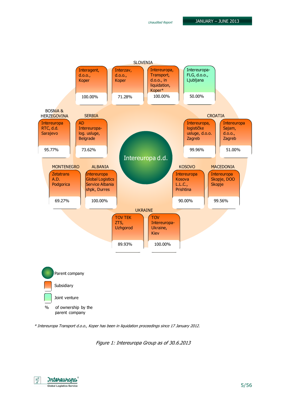

parent company

\* Intereuropa Transport d.o.o., Koper has been in liquidation proceedings since 17 January 2012.

Figure 1: Intereuropa Group as of 30.6.2013

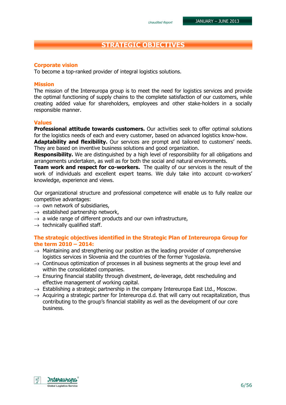### STRATEGIC OBJECTIVES

#### Corporate vision

To become a top-ranked provider of integral logistics solutions.

#### Mission

The mission of the Intereuropa group is to meet the need for logistics services and provide the optimal functioning of supply chains to the complete satisfaction of our customers, while creating added value for shareholders, employees and other stake-holders in a socially responsible manner.

#### Values

**Professional attitude towards customers.** Our activities seek to offer optimal solutions for the logistics needs of each and every customer, based on advanced logistics know-how.

**Adaptability and flexibility.** Our services are prompt and tailored to customers' needs. They are based on inventive business solutions and good organization.

**Responsibility.** We are distinguished by a high level of responsibility for all obligations and arrangements undertaken, as well as for both the social and natural environments.

Team work and respect for co-workers. The quality of our services is the result of the work of individuals and excellent expert teams. We duly take into account co-workers' knowledge, experience and views.

Our organizational structure and professional competence will enable us to fully realize our competitive advantages:

- $\rightarrow$  own network of subsidiaries,
- $\rightarrow$  established partnership network,
- $\rightarrow$  a wide range of different products and our own infrastructure,
- $\rightarrow$  technically qualified staff.

#### The strategic objectives identified in the Strategic Plan of Intereuropa Group for the term 2010 – 2014:

- $\rightarrow$  Maintaining and strengthening our position as the leading provider of comprehensive logistics services in Slovenia and the countries of the former Yugoslavia.
- $\rightarrow$  Continuous optimization of processes in all business segments at the group level and within the consolidated companies.
- $\rightarrow$  Ensuring financial stability through divestment, de-leverage, debt rescheduling and effective management of working capital.
- $\rightarrow$  Establishing a strategic partnership in the company Intereuropa East Ltd., Moscow.
- $\rightarrow$  Acquiring a strategic partner for Intereuropa d.d. that will carry out recapitalization, thus contributing to the group's financial stability as well as the development of our core business.

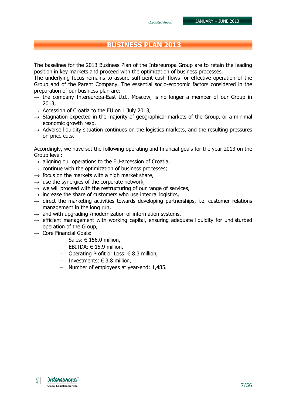# BUSINESS PLAN 2013

The baselines for the 2013 Business Plan of the Intereuropa Group are to retain the leading position in key markets and proceed with the optimization of business processes.

The underlying focus remains to assure sufficient cash flows for effective operation of the Group and of the Parent Company. The essential socio-economic factors considered in the preparation of our business plan are:

- $\rightarrow$  the company Intereuropa-East Ltd., Moscow, is no longer a member of our Group in 2013,
- $\rightarrow$  Accession of Croatia to the EU on 1 July 2013,
- $\rightarrow$  Stagnation expected in the majority of geographical markets of the Group, or a minimal economic growth resp.
- $\rightarrow$  Adverse liquidity situation continues on the logistics markets, and the resulting pressures on price cuts.

Accordingly, we have set the following operating and financial goals for the year 2013 on the Group level:

- $\rightarrow$  aligning our operations to the EU-accession of Croatia,
- $\rightarrow$  continue with the optimization of business processes;
- $\rightarrow$  focus on the markets with a high market share,
- $\rightarrow$  use the synergies of the corporate network,
- $\rightarrow$  we will proceed with the restructuring of our range of services,
- $\rightarrow$  increase the share of customers who use integral logistics,
- $\rightarrow$  direct the marketing activities towards developing partnerships, i.e. customer relations management in the long run,
- $\rightarrow$  and with upgrading /modernization of information systems,
- $\rightarrow$  efficient management with working capital, ensuring adequate liquidity for undisturbed operation of the Group,
- $\rightarrow$  Core Financial Goals:
	- − Sales: € 156.0 million,
	- − EBITDA: € 15.9 million,
	- − Operating Profit or Loss: € 8.3 million,
	- − Investments: € 3.8 million,
	- − Number of employees at year-end: 1,485.

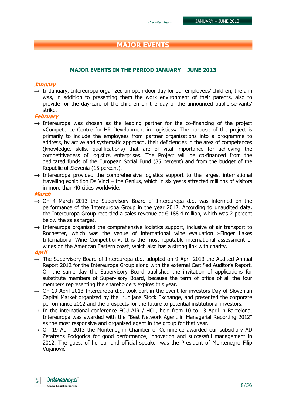# MAJOR EVENTS

#### MAJOR EVENTS IN THE PERIOD JANUARY – JUNE 2013

#### **January**

 $\rightarrow$  In January, Intereuropa organized an open-door day for our employees' children; the aim was, in addition to presenting them the work environment of their parents, also to provide for the day-care of the children on the day of the announced public servants' strike.

#### February

- $\rightarrow$  Intereuropa was chosen as the leading partner for the co-financing of the project »Competence Centre for HR Development in Logistics«. The purpose of the project is primarily to include the employees from partner organizations into a programme to address, by active and systematic approach, their deficiencies in the area of competences (knowledge, skills, qualifications) that are of vital importance for achieving the competitiveness of logistics enterprises. The Project will be co-financed from the dedicated funds of the European Social Fund (85 percent) and from the budget of the Republic of Slovenia (15 percent).
- $\rightarrow$  Intereuropa provided the comprehensive logistics support to the largest international travelling exhibition Da Vinci – the Genius, which in six years attracted millions of visitors in more than 40 cities worldwide.

#### March

- $\rightarrow$  On 4 March 2013 the Supervisory Board of Intereuropa d.d. was informed on the performance of the Intereuropa Group in the year 2012. According to unaudited data, the Intereuropa Group recorded a sales revenue at  $\epsilon$  188.4 million, which was 2 percent below the sales target.
- $\rightarrow$  Intereuropa organised the comprehensive logistics support, inclusive of air transport to Rochester, which was the venue of international wine evaluation »Finger Lakes International Wine Competition«. It is the most reputable international assessment of wines on the American Eastern coast, which also has a strong link with charity.

#### April

- $\rightarrow$  The Supervisory Board of Intereuropa d.d. adopted on 9 April 2013 the Audited Annual Report 2012 for the Intereuropa Group along with the external Certified Auditor's Report. On the same day the Supervisory Board published the invitation of applications for substitute members of Supervisory Board, because the term of office of all the four members representing the shareholders expires this year.
- $\rightarrow$  On 19 April 2013 Intereuropa d.d. took part in the event for investors Day of Slovenian Capital Market organized by the Ljubljana Stock Exchange, and presented the corporate performance 2012 and the prospects for the future to potential institutional investors.
- $\rightarrow$  In the international conference ECU AIR / HCL, held from 10 to 13 April in Barcelona, Intereuropa was awarded with the "Best Network Agent in Managerial Reporting 2012" as the most responsive and organised agent in the group for that year.
- $\rightarrow$  On 19 April 2013 the Montenegrin Chamber of Commerce awarded our subsidiary AD Zetatrans Podgorica for good performance, innovation and successful management in 2012. The guest of honour and official speaker was the President of Montenegro Filip Vujanović.

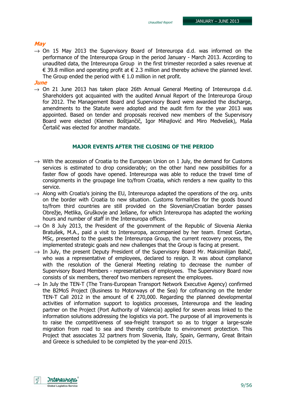#### **May**

- $\rightarrow$  On 15 May 2013 the Supervisory Board of Intereuropa d.d. was informed on the performance of the Intereuropa Group in the period January - March 2013. According to unaudited data, the Intereuropa Group in the first trimester recorded a sales revenue at € 39.8 million and operating profit at € 2.3 million and thereby achieve the planned level. The Group ended the period with  $\epsilon$  1.0 million in net profit.
- **June**
- $\rightarrow$  On 21 June 2013 has taken place 26th Annual General Meeting of Intereuropa d.d. Shareholders got acquainted with the audited Annual Report of the Intereuropa Group for 2012. The Management Board and Supervisory Board were awarded the discharge, amendments to the Statute were adopted and the audit firm for the year 2013 was appointed. Based on tender and proposals received new members of the Supervisory Board were elected (Klemen Boštjančič, Igor Mihajlović and Miro Medvešek), Maša Čertalič was elected for another mandate.

#### MAJOR EVENTS AFTER THE CLOSING OF THE PERIOD

- $\rightarrow$  With the accession of Croatia to the European Union on 1 July, the demand for Customs services is estimated to drop considerably; on the other hand new possibilities for a faster flow of goods have opened. Intereuropa was able to reduce the travel time of consignments in the groupage line to/from Croatia, which renders a new quality to this service.
- $\rightarrow$  Along with Croatia's joining the EU, Intereuropa adapted the operations of the org. units on the border with Croatia to new situation. Customs formalities for the goods bound to/from third countries are still provided on the Slovenian/Croatian border passes Obrežje, Metlika, Gruškovje and Jelšane, for which Intereuropa has adapted the working hours and number of staff in the Intereuropa offices.
- $\rightarrow$  On 8 July 2013, the President of the government of the Republic of Slovenia Alenka Bratušek, M.A., paid a visit to Intereuropa, accompanied by her team. Ernest Gortan, MSc, presented to the guests the Intereuropa Group, the current recovery process, the implemented strategic goals and new challenges that the Group is facing at present.
- $\rightarrow$  In July, the present Deputy President of the Supervisory Board Mr. Maksimilijan Babič, who was a representative of employees, declared to resign. It was about compliance with the resolution of the General Meeting relating to decrease the number of Supervisory Board Members - representatives of employees. The Supervisory Board now consists of six members, thereof two members represent the employees.
- $\rightarrow$  In July the TEN-T (The Trans-European Transport Network Executive Agency) confirmed the B2MoS Project (Business to Motorways of the Sea) for cofinancing on the tender TEN-T Call 2012 in the amount of  $\epsilon$  270,000. Regarding the planned developmental activities of information support to logistics processes, Intereuropa and the leading partner on the Project (Port Authority of Valencia) applied for seven areas linked to the information solutions addressing the logistics via port. The purpose of all improvements is to raise the competitiveness of sea-freight transport so as to trigger a large-scale migration from road to sea and thereby contribute to environment protection. This Project that associates 32 partners from Slovenia, Italy, Spain, Germany, Great Britain and Greece is scheduled to be completed by the year-end 2015.

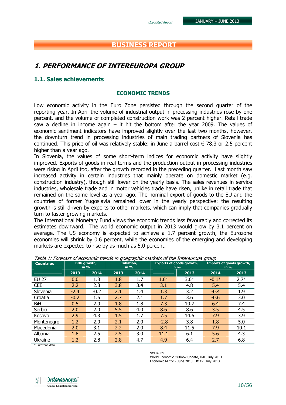### BUSINESS REPORT

# 1. PERFORMANCE OF INTEREUROPA GROUP

#### 1.1. Sales achievements

#### ECONOMIC TRENDS

Low economic activity in the Euro Zone persisted through the second quarter of the reporting year. In April the volume of industrial output in processing industries rose by one percent, and the volume of completed construction work was 2 percent higher. Retail trade saw a decline in income again  $-$  it hit the bottom after the year 2009. The values of economic sentiment indicators have improved slightly over the last two months, however, the downturn trend in processing industries of main trading partners of Slovenia has continued. This price of oil was relatively stable: in June a barrel cost  $\epsilon$  78.3 or 2.5 percent higher than a year ago.

In Slovenia, the values of some short-term indices for economic activity have slightly improved. Exports of goods in real terms and the production output in processing industries were rising in April too, after the growth recorded in the preceding quarter. Last month saw increased activity in certain industries that mainly operate on domestic market (e.g. construction industry), though still lower on the yearly basis. The sales revenues in service industries, wholesale trade and in motor vehicles trade have risen, unlike in retail trade that remained on the same level as a year ago. The nominal export of goods to the EU and the countries of former Yugoslavia remained lower in the yearly perspective: the resulting growth is still driven by exports to other markets, which can imply that companies gradually turn to faster-growing markets.

The International Monetary Fund views the economic trends less favourably and corrected its estimates downward. The world economic output in 2013 would grow by 3.1 percent on average. The US economy is expected to achieve a 1.7 percent growth, the Eurozone economies will shrink by 0.6 percent, while the economies of the emerging and developing markets are expected to rise by as much as 5.0 percent.

| <b>Countries</b> |        | <b>BDP</b> growth,<br>in % |         | Inflation,<br>in $%$ | <b>Exports of goods growth,</b><br>in $%$ |        | Imports of goods growth,<br>in $%$ |        |
|------------------|--------|----------------------------|---------|----------------------|-------------------------------------------|--------|------------------------------------|--------|
|                  | 2013   | 2014                       | 2013    | 2014                 |                                           | 2013   | 2014                               | 2013   |
| EU 27            | 0.0    | 1.3                        | 1.8     | 1.7                  | $1.6*$                                    | $3.0*$ | $-0.1*$                            | $2.7*$ |
| <b>CEE</b>       | 2.2    | 2.8                        | 3.8     | 3.4                  | 3.1                                       | 4.8    | 5.4                                | 5.4    |
| Slovenia         | $-2.4$ | $-0.2$                     | 2.1     | 1.4                  | 1.3                                       | 3.2    | $-0.4$                             | 1.9    |
| Croatia          | $-0.2$ | 1.5                        | 2.7     | 2.1                  | 1.7                                       | 3.6    | $-0.6$                             | 3.0    |
| BiH              | 0.5    | 2.0                        | 1.8     | 1.8                  | 7.3                                       | 10.7   | 6.4                                | 7.4    |
| Serbia           | 2.0    | 2.0                        | 5.5     | 4.0                  | 8.6                                       | 8.6    | 3.5                                | 4.5    |
| Kosovo           | 2.9    | 4.3                        | $1.5\,$ | 1.7                  | 7.5                                       | 14.6   | 7.9                                | 3.9    |
| Montenegro       | 1.2    | 2.0                        | 2.1     | 2.0                  | $-2.8$                                    | 3.8    | 1.8                                | 5.0    |
| Macedonia        | 2.0    | 3.1                        | 2.2     | 2.0                  | 8.4                                       | 11.5   | 7.9                                | 10.1   |
| Albania          | 1.8    | 2.5                        | 2.5     | 3.0                  | 11.1                                      | 6.1    | 5.6                                | 4.3    |
| Ukraine          | 1.2    | 2.8                        | 2.8     | 4.7                  | 4.9                                       | 6.4    | 2.7                                | 6.8    |

Table 1: Forecast of economic trends in goegraphic markets of the Intereuropa group

\* Eurozone data

SOURCES:

World Economic Outlook Update, IMF, July 2013 Economic Mirror - June 2013, UMAR, July 2013

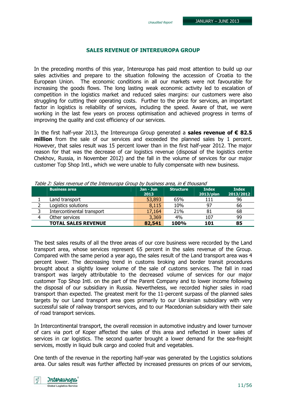#### SALES REVENUE OF INTEREUROPA GROUP

In the preceding months of this year, Intereuropa has paid most attention to build up our sales activities and prepare to the situation following the accession of Croatia to the European Union. The economic conditions in all our markets were not favourable for increasing the goods flows. The long lasting weak economic activity led to escalation of competition in the logistics market and reduced sales margins: our customers were also struggling for cutting their operating costs. Further to the price for services, an important factor in logistics is reliability of services, including the speed. Aware of that, we were working in the last few years on process optimisation and achieved progress in terms of improving the quality and cost efficiency of our services.

In the first half-year 2013, the Intereuropa Group generated a **sales revenue of**  $\epsilon$  **82.5** million from the sale of our services and exceeded the planned sales by 1 percent. However, that sales result was 15 percent lower than in the first half-year 2012. The major reason for that was the decrease of car logistics revenue (disposal of the logistics centre Chekhov, Russia, in November 2012) and the fall in the volume of services for our major customer Top Shop Intl., which we were unable to fully compensate with new business.

|   | <b>Business area</b>       | Jan - Jun<br>2013 | <b>Structure</b> | <b>Index</b><br>2013/plan | <b>Index</b><br>2013/2012 |
|---|----------------------------|-------------------|------------------|---------------------------|---------------------------|
|   | Land transport             | 53,893            | 65%              | 111                       | 96                        |
|   | Logistics solutions        | 8,115             | 10%              | -97                       | 66                        |
|   | Intercontinental transport | 17,164            | 21%              | 81                        | 68                        |
| 4 | Other services             | 3,369             | 4%               | 107                       | 99                        |
|   | <b>TOTAL SALES REVENUE</b> | 82,541            | <b>100%</b>      | 101                       | 85                        |

Table 2: Sales revenue of the Intereuropa Group by business area, in  $\epsilon$  thousand

The best sales results of all the three areas of our core business were recorded by the Land transport area, whose services represent 65 percent in the sales revenue of the Group. Compared with the same period a year ago, the sales result of the Land transport area was 4 percent lower. The decreasing trend in customs broking and border transit procedures brought about a slightly lower volume of the sale of customs services. The fall in road transport was largely attributable to the decreased volume of services for our major customer Top Shop Intl. on the part of the Parent Company and to lower income following the disposal of our subsidiary in Russia. Nevertheless, we recorded higher sales in road transport than expected. The greatest merit for the 11-percent surpass of the planned sales targets by our Land transport area goes primarily to our Ukrainian subsidiary with very successful sale of railway transport services, and to our Macedonian subsidiary with their sale of road transport services.

In Intercontinental transport, the overall recession in automotive industry and lower turnover of cars via port of Koper affected the sales of this area and reflected in lower sales of services in car logistics. The second quarter brought a lower demand for the sea-freight services, mostly in liquid bulk cargo and cooled fruit and vegetables.

One tenth of the revenue in the reporting half-year was generated by the Logistics solutions area. Our sales result was further affected by increased pressures on prices of our services,

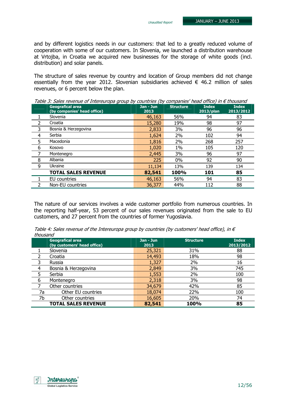and by different logistics needs in our customers: that led to a greatly reduced volume of cooperation with some of our customers. In Slovenia, we launched a distribution warehouse at Vrtojba, in Croatia we acquired new businesses for the storage of white goods (incl. distribution) and solar panels.

The structure of sales revenue by country and location of Group members did not change essentially from the year 2012. Slovenian subsidiaries achieved  $\epsilon$  46.2 million of sales revenues, or 6 percent below the plan.

 $T(t, 3, 3, 1)$  Sales revenue of Intereuropa group by companies (by companies (by companies) in  $F(t, 3, 3, 1)$ 

| Table 3: Sales revenue of Intereuropa group by countries (by companies' head office) in $\epsilon$ thousand |                                                        |                   |                  |                              |                           |  |
|-------------------------------------------------------------------------------------------------------------|--------------------------------------------------------|-------------------|------------------|------------------------------|---------------------------|--|
|                                                                                                             | <b>Geografical area</b><br>(by companies' head office) | Jan - Jun<br>2013 | <b>Structure</b> | <b>Index</b><br>$2013$ /plan | <b>Index</b><br>2013/2012 |  |
|                                                                                                             | Slovenia                                               | 46,163            | 56%              | 94                           | 83                        |  |
|                                                                                                             | Croatia                                                | 15,280            | 19%              | 98                           | 97                        |  |
| 3                                                                                                           | Bosnia & Herzegovina                                   | 2,833             | 3%               | 96                           | 96                        |  |
| 4                                                                                                           | Serbia                                                 | 1,624             | 2%               | 102                          | 94                        |  |
| 5                                                                                                           | Macedonia                                              | 1,816             | 2%               | 268                          | 257                       |  |
| 6                                                                                                           | Kosovo                                                 | 1,020             | $1\%$            | 105                          | 120                       |  |
|                                                                                                             | Montenegro                                             | 2,445             | 3%               | 96                           | 97                        |  |
| 8                                                                                                           | Albania                                                | 225               | 0%               | 92                           | 90                        |  |
| 9                                                                                                           | Ukraine                                                | 11,134            | 13%              | 139                          | 134                       |  |
|                                                                                                             | <b>TOTAL SALES REVENUE</b>                             | 82,541            | 100%             | 101                          | 85                        |  |
|                                                                                                             | EU countries                                           | 46,163            | 56%              | 94                           | 83                        |  |
|                                                                                                             | Non-EU countries                                       | 36,377            | 44%              | 112                          | 88                        |  |

The nature of our services involves a wide customer portfolio from numerous countries. In the reporting half-year, 53 percent of our sales revenues originated from the sale to EU customers, and 27 percent from the countries of former Yugoslavia.

Table 4: Sales revenue of the Intereuropa group by countries (by customers' head office), in  $\epsilon$ thousand

|    | <b>Geografical area</b><br>(by customers' head office) | Jan - Jun<br>2013 | <b>Structure</b> | <b>Index</b><br>2013/2012 |
|----|--------------------------------------------------------|-------------------|------------------|---------------------------|
|    | Slovenia                                               | 25,321            | 31%              | 88                        |
| າ  | Croatia                                                | 14,493            | 18%              | 98                        |
| 3  | Russia                                                 | 1,327             | 2%               | 16                        |
| 4  | Bosnia & Herzegovina                                   | 2,849             | 3%               | 745                       |
| 5  | Serbia                                                 | 1,553             | 2%               | 100                       |
| 6  | Montenegro                                             | 2,318             | 3%               | 98                        |
|    | Other countries                                        | 34,679            | 42%              | 85                        |
| 7a | Other EU countries                                     | 18,074            | 22%              | 100                       |
| 7b | Other countries                                        | 16,605            | 20%              | 74                        |
|    | <b>TOTAL SALES REVENUE</b>                             | 82,541            | 100%             | 85                        |

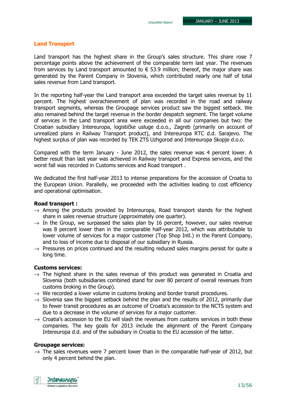#### Land Transport

Land transport has the highest share in the Group's sales structure. This share rose 7 percentage points above the achievement of the comparable term last year. The revenues from services by Land transport amounted to  $\epsilon$  53.9 million; thereof, the major share was generated by the Parent Company in Slovenia, which contributed nearly one half of total sales revenue from Land transport.

In the reporting half-year the Land transport area exceeded the target sales revenue by 11 percent. The highest overachievement of plan was recorded in the road and railway transport segments, whereas the Groupage services product saw the biggest setback. We also remained behind the target revenue in the border despatch segment. The target volume of services in the Land transport area were exceeded in all our companies but two: the Croatian subsidiary Intereuropa, logističke usluge d.o.o., Zagreb (primarily on account of unrealized plans in Railway Transport product), and Intereuropa RTC d.d. Sarajevo. The highest surplus of plan was recorded by TEK ZTS Uzhgorod and Intereuropa Skopje d.o.o.

Compared with the term January - June 2012, the sales revenue was 4 percent lower. A better result than last year was achieved in Railway transport and Express services, and the worst fall was recorded in Customs services and Road transport .

We dedicated the first half-year 2013 to intense preparations for the accession of Croatia to the European Union. Parallelly, we proceeded with the activities leading to cost efficiency and operational optimisation.

#### Road transport :

- $\rightarrow$  Among the products provided by Intereuropa, Road transport stands for the highest share in sales revenue structure (approximately one quarter).
- $\rightarrow$  In the Group, we surpassed the sales plan by 16 percent, however, our sales revenue was 8 percent lower than in the comparable half-year 2012, which was attributable to lower volume of services for a major customer (Top Shop Intl.) in the Parent Company, and to loss of income due to disposal of our subsidiary in Russia.
- $\rightarrow$  Pressures on prices continued and the resulting reduced sales margins persist for quite a long time.

#### Customs services:

- $\rightarrow$  The highest share in the sales revenue of this product was generated in Croatia and Slovenia (both subsidiaries combined stand for over 80 percent of overall revenues from customs broking in the Group).
- $\rightarrow$  We recorded a lower volume in customs broking and border transit procedures.
- $\rightarrow$  Slovenia saw the biggest setback behind the plan and the results of 2012, primarily due to fewer transit procedures as an outcome of Croatia's accession to the NCTS system and due to a decrease in the volume of services for a major customer.
- $\rightarrow$  Croatia's accession to the EU will slash the revenues from customs services in both these companies. The key goals for 2013 include the alignment of the Parent Company Intereuropa d.d. and of the subsidiary in Croatia to the EU accession of the latter.

#### Groupage services:

 $\rightarrow$  The sales revenues were 7 percent lower than in the comparable half-year of 2012, but only 4 percent behind the plan.

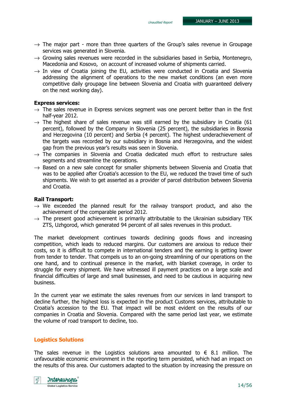- $\rightarrow$  The major part more than three quarters of the Group's sales revenue in Groupage services was generated in Slovenia.
- $\rightarrow$  Growing sales revenues were recorded in the subsidiaries based in Serbia, Montenegro, Macedonia and Kosovo, on account of increased volume of shipments carried.
- $\rightarrow$  In view of Croatia joining the EU, activities were conducted in Croatia and Slovenia addressing the alignment of operations to the new market conditions (an even more competitive daily groupage line between Slovenia and Croatia with guaranteed delivery on the next working day).

#### Express services:

- $\rightarrow$  The sales revenue in Express services segment was one percent better than in the first half-year 2012.
- $\rightarrow$  The highest share of sales revenue was still earned by the subsidiary in Croatia (61 percent), followed by the Company in Slovenia (25 percent), the subsidiaries in Bosnia and Herzegovina (10 percent) and Serbia (4 percent). The highest underachievement of the targets was recorded by our subsidiary in Bosnia and Herzegovina, and the widest gap from the previous year's results was seen in Slovenia.
- $\rightarrow$  The companies in Slovenia and Croatia dedicated much effort to restructure sales segments and streamline the operations.
- $\rightarrow$  Based on a new sale concept for smaller shipments between Slovenia and Croatia that was to be applied after Croatia's accession to the EU, we reduced the travel time of such shipments. We wish to get asserted as a provider of parcel distribution between Slovenia and Croatia.

#### Rail Transport:

- $\rightarrow$  We exceeded the planned result for the railway transport product, and also the achievement of the comparable period 2012.
- $\rightarrow$  The present good achievement is primarily attributable to the Ukrainian subsidiary TEK ZTS, Uzhgorod, which generated 94 percent of all sales revenues in this product.

The market development continues towards declining goods flows and increasing competition, which leads to reduced margins. Our customers are anxious to reduce their costs, so it is difficult to compete in international tenders and the earning is getting lower from tender to tender. That compels us to an on-going streamlining of our operations on the one hand, and to continual presence in the market, with blanket coverage, in order to struggle for every shipment. We have witnessed ill payment practices on a large scale and financial difficulties of large and small businesses, and need to be cautious in acquiring new business.

In the current year we estimate the sales revenues from our services in land transport to decline further, the highest loss is expected in the product Customs services, attributable to Croatia's accession to the EU. That impact will be most evident on the results of our companies in Croatia and Slovenia. Compared with the same period last year, we estimate the volume of road transport to decline, too.

#### Logistics Solutions

The sales revenue in the Logistics solutions area amounted to  $\epsilon$  8.1 million. The unfavourable economic environment in the reporting term persisted, which had an impact on the results of this area. Our customers adapted to the situation by increasing the pressure on

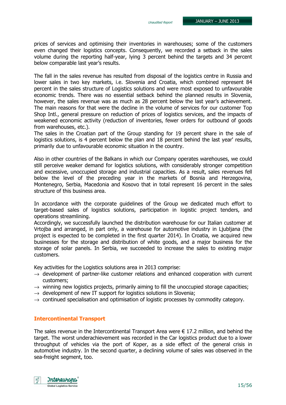prices of services and optimising their inventories in warehouses; some of the customers even changed their logistics concepts. Consequently, we recorded a setback in the sales volume during the reporting half-year, lying 3 percent behind the targets and 34 percent below comparable last year's results.

The fall in the sales revenue has resulted from disposal of the logistics centre in Russia and lower sales in two key markets, i.e. Slovenia and Croatia, which combined represent 84 percent in the sales structure of Logistics solutions and were most exposed to unfavourable economic trends. There was no essential setback behind the planned results in Slovenia, however, the sales revenue was as much as 28 percent below the last year's achievement. The main reasons for that were the decline in the volume of services for our customer Top Shop Intl., general pressure on reduction of prices of logistics services, and the impacts of weakened economic activity (reduction of inventories, fewer orders for outbound of goods from warehouses, etc.).

The sales in the Croatian part of the Group standing for 19 percent share in the sale of logistics solutions, is 4 percent below the plan and 18 percent behind the last year' results, primarily due to unfavourable economic situation in the country.

Also in other countries of the Balkans in which our Company operates warehouses, we could still perceive weaker demand for logistics solutions, with considerably stronger competition and excessive, unoccupied storage and industrial capacities. As a result, sales revenues fell below the level of the preceding year in the markets of Bosnia and Herzegovina, Montenegro, Serbia, Macedonia and Kosovo that in total represent 16 percent in the sales structure of this business area.

In accordance with the corporate guidelines of the Group we dedicated much effort to target-based sales of logistics solutions, participation in logistic project tenders, and operations streamlining.

Accordingly, we successfully launched the distribution warehouse for our Italian customer at Vrtojba and arranged, in part only, a warehouse for automotive industry in Ljubljana (the project is expected to be completed in the first quarter 2014). In Croatia, we acquired new businesses for the storage and distribution of white goods, and a major business for the storage of solar panels. In Serbia, we succeeded to increase the sales to existing major customers.

Key activities for the Logistics solutions area in 2013 comprise:

- $\rightarrow$  development of partner-like customer relations and enhanced cooperation with current customers;
- $\rightarrow$  winning new logistics projects, primarily aiming to fill the unoccupied storage capacities;
- $\rightarrow$  development of new IT support for logistics solutions in Slovenia;
- $\rightarrow$  continued specialisation and optimisation of logistic processes by commodity category.

#### Intercontinental Transport

The sales revenue in the Intercontinental Transport Area were  $\epsilon$  17.2 million, and behind the target. The worst underachievement was recorded in the Car logistics product due to a lower throughput of vehicles via the port of Koper, as a side effect of the general crisis in automotive industry. In the second quarter, a declining volume of sales was observed in the sea-freight segment, too.

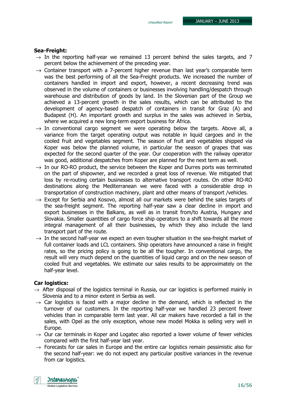#### Sea-Freight:

- $\rightarrow$  In the reporting half-year we remained 13 percent behind the sales targets, and 7 percent below the achievement of the preceding year.
- $\rightarrow$  Container transport with a 7-percent higher revenue than last year's comparable term was the best performing of all the Sea-Freight products. We increased the number of containers handled in import and export, however, a recent decreasing trend was observed in the volume of containers or businesses involving handling/despatch through warehouse and distribution of goods by land. In the Slovenian part of the Group we achieved a 13-percent growth in the sales results, which can be attributed to the development of agency-based despatch of containers in transit for Graz (A) and Budapest (H). An important growth and surplus in the sales was achieved in Serbia, where we acquired a new long-term export business for Africa.
- $\rightarrow$  In conventional cargo segment we were operating below the targets. Above all, a variance from the target operating output was notable in liquid cargoes and in the cooled fruit and vegetables segment. The season of fruit and vegetables shipped via Koper was below the planned volume, in particular the season of grapes that was expected for the second quarter of the year. Our cooperation with the railway operator was good, additional despatches from Koper are planned for the next term as well.
- $\rightarrow$  In our RO-RO product, the service between the Koper and Durres ports was terminated on the part of shipowner, and we recorded a great loss of revenue. We mitigated that loss by re-routing certain businesses to alternative transport routes. On other RO-RO destinations along the Mediterranean we were faced with a considerable drop in transportation of construction machinery, plant and other means of transport /vehicles.
- $\rightarrow$  Except for Serbia and Kosovo, almost all our markets were behind the sales targets of the sea-freight segment. The reporting half-year saw a clear decline in import and export businesses in the Balkans, as well as in transit from/to Austria, Hungary and Slovakia. Smaller quantities of cargo force ship operators to a shift towards all the more integral management of all their businesses, by which they also include the land transport part of the route.
- $\rightarrow$  In the second half-year we expect an even tougher situation in the sea-freight market of full container loads and LCL containers. Ship operators have announced a raise in freight rates, so the pricing policy is going to be all the tougher. In conventional cargo, the result will very much depend on the quantities of liquid cargo and on the new season of cooled fruit and vegetables. We estimate our sales results to be approximately on the half-year level.

#### Car logistics:

- $\rightarrow$  After disposal of the logistics terminal in Russia, our car logistics is performed mainly in Slovenia and to a minor extent in Serbia as well.
- $\rightarrow$  Car logistics is faced with a major decline in the demand, which is reflected in the turnover of our customers. In the reporting half-year we handled 23 percent fewer vehicles than in comparable term last year. All car makers have recorded a fall in the sales, with Opel as the only exception, whose new model Mokka is selling very well in Europe.
- $\rightarrow$  Our car terminals in Koper and Logatec also reported a lower volume of fewer vehicles compared with the first half-year last year.
- $\rightarrow$  Forecasts for car sales in Europe and the entire car logistics remain pessimistic also for the second half-year: we do not expect any particular positive variances in the revenue from car logistics.

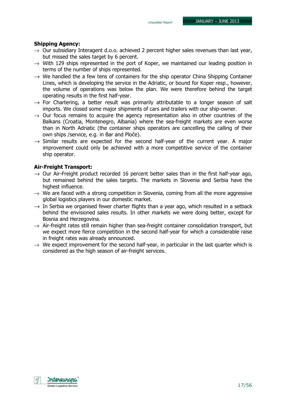#### Shipping Agency:

- $\rightarrow$  Our subsidiary Interagent d.o.o. achieved 2 percent higher sales revenues than last year, but missed the sales target by 6 percent.
- $\rightarrow$  With 129 ships represented in the port of Koper, we maintained our leading position in terms of the number of ships represented.
- $\rightarrow$  We handled the a few tens of containers for the ship operator China Shipping Container Lines, which is developing the service in the Adriatic, or bound for Koper resp., however, the volume of operations was below the plan. We were therefore behind the target operating results in the first half-year.
- $\rightarrow$  For Chartering, a better result was primarily attributable to a longer season of salt imports. We closed some major shipments of cars and trailers with our ship-owner.
- $\rightarrow$  Our focus remains to acquire the agency representation also in other countries of the Balkans (Croatia, Montenegro, Albania) where the sea-freight markets are even worse than in North Adriatic (the container ships operators are cancelling the calling of their own ships /service, e.g. in Bar and Ploče).
- $\rightarrow$  Similar results are expected for the second half-year of the current year. A major improvement could only be achieved with a more competitive service of the container ship operator.

#### Air-Freight Transport:

- $\rightarrow$  Our Air-Freight product recorded 16 percent better sales than in the first half-year ago, but remained behind the sales targets. The markets in Slovenia and Serbia have the highest influence.
- $\rightarrow$  We are faced with a strong competition in Slovenia, coming from all the more aggressive global logistics players in our domestic market.
- $\rightarrow$  In Serbia we organised fewer charter flights than a year ago, which resulted in a setback behind the envisioned sales results. In other markets we were doing better, except for Bosnia and Herzegovina.
- $\rightarrow$  Air-freight rates still remain higher than sea-freight container consolidation transport, but we expect more fierce competition in the second half-year for which a considerable raise in freight rates was already announced.
- $\rightarrow$  We expect improvement for the second half-year, in particular in the last quarter which is considered as the high season of air-freight services.

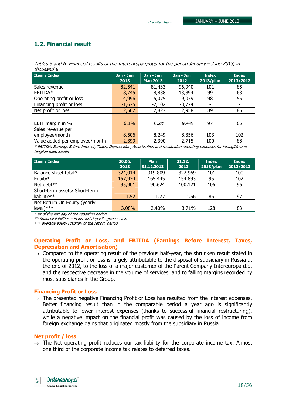#### 1.2. Financial result

| u iyusunu c                    |                   |                               |                   |                           |                           |
|--------------------------------|-------------------|-------------------------------|-------------------|---------------------------|---------------------------|
| Item / Index                   | Jan - Jun<br>2013 | Jan - Jun<br><b>Plan 2013</b> | Jan - Jun<br>2012 | <b>Index</b><br>2013/plan | <b>Index</b><br>2013/2012 |
| Sales revenue                  | 82,541            | 81,433                        | 96,940            | 101                       | 85                        |
| EBITDA*                        | 8,745             | 8,838                         | 13,894            | 99                        | 63                        |
| Operating profit or loss       | 4,996             | 5,075                         | 9,079             | 98                        | 55                        |
| Financing profit or loss       | $-1,675$          | $-2,102$                      | $-3,774$          | $\overline{\phantom{a}}$  | ۰                         |
| Net profit or loss             | 2,507             | 2,827                         | 2,958             | 89                        | 85                        |
|                                |                   |                               |                   |                           |                           |
| EBIT margin in %               | 6.1%              | 6.2%                          | 9.4%              | 97                        | 65                        |
| Sales revenue per              |                   |                               |                   |                           |                           |
| employee/month                 | 8.506             | 8.249                         | 8.356             | 103                       | 102                       |
| Value added per employee/month | 2.399             | 2.390                         | 2.715             | 100                       | 88                        |

Tables 5 and 6: Financial results of the Intereuropa group for the period January – June 2013, in thousand  $\epsilon$ 

\* EBITDA: Earnings Before Interest, Taxes, Depreciation, Amortisation and revaluation operating expenses for intangible and tangible fixed assets

| 30.06.<br>2013 | <b>Plan</b><br>31.12.2013 | 31.12.<br>2012 | <b>Index</b><br>2013/plan | <b>Index</b><br>2013/2012 |
|----------------|---------------------------|----------------|---------------------------|---------------------------|
| 324,014        | 319,809                   | 322,969        | 101                       | 100                       |
| 157,924        | 165,445                   | 154,893        | 95                        | 102                       |
| 95,901         | 90,624                    | 100,121        | 106                       | 96                        |
|                |                           |                |                           |                           |
| 1.52           | 1.77                      | 1.56           | 86                        | 97                        |
|                |                           |                |                           |                           |
| 3.08%          | 2.40%                     | 3.71%          | 128                       | 83                        |
|                |                           |                |                           |                           |

\* as of the last day of the reporting period

\*\* financial liabilities – loans and deposits given - cash

\*\*\* average equity (capital) of the report. period

#### Operating Profit or Loss, and EBITDA (Earnings Before Interest, Taxes, Depreciation and Amortisation)

 $\rightarrow$  Compared to the operating result of the previous half-year, the shrunken result stated in the operating profit or loss is largely attributable to the disposal of subsidiary in Russia at the end of 2012, to the loss of a major customer of the Parent Company Intereuropa d.d. and the respective decrease in the volume of services, and to falling margins recorded by most subsidiaries in the Group.

#### Financing Profit or Loss

 $\rightarrow$  The presented negative Financing Profit or Loss has resulted from the interest expenses. Better financing result than in the comparable period a year ago is significantly attributable to lower interest expenses (thanks to successful financial restructuring), while a negative impact on the financial profit was caused by the loss of income from foreign exchange gains that originated mostly from the subsidiary in Russia.

#### Net profit / loss

 $\rightarrow$  The Net operating profit reduces our tax liability for the corporate income tax. Almost one third of the corporate income tax relates to deferred taxes.

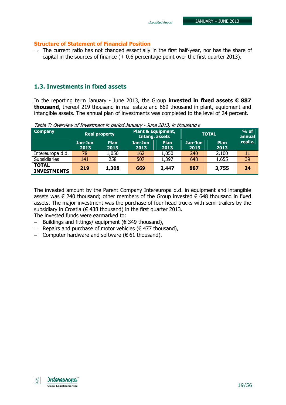#### Structure of Statement of Financial Position

 $\rightarrow$  The current ratio has not changed essentially in the first half-year, nor has the share of capital in the sources of finance  $(+ 0.6$  percentage point over the first quarter 2013).

#### 1.3. Investments in fixed assets

In the reporting term January - June 2013, the Group invested in fixed assets  $\epsilon$  887 thousand, thereof 219 thousand in real estate and 669 thousand in plant, equipment and intangible assets. The annual plan of investments was completed to the level of 24 percent.

| <b>Company</b>                     |                 | <b>Real property</b> | <b>Plant &amp; Equipment,</b><br>Intang. assets |                     | <b>TOTAL</b>    | $%$ of<br><b>annual</b> |         |
|------------------------------------|-----------------|----------------------|-------------------------------------------------|---------------------|-----------------|-------------------------|---------|
|                                    | Jan-Jun<br>2013 | <b>Plan</b><br>2013  | Jan-Jun<br>2013                                 | <b>Plan</b><br>2013 | Jan-Jun<br>2013 | <b>Plan</b><br>2013     | realiz. |
| Intereuropa d.d.                   | 78              | 1,050                | 162                                             | 1,050               | 240             | 2,100                   | 11      |
| Subsidiaries                       | 141             | 258                  | 507                                             | 1,397               | 648             | 1,655                   | 39      |
| <b>TOTAL</b><br><b>INVESTMENTS</b> | 219             | 1,308                | 669                                             | 2,447               | 887             | 3,755                   | 24      |

Table 7: Overview of Investment in period January - June 2013, in thousand  $\epsilon$ 

The invested amount by the Parent Company Intereuropa d.d. in equipment and intangible assets was € 240 thousand; other members of the Group invested  $∈$  648 thousand in fixed assets. The major investment was the purchase of four head trucks with semi-trailers by the subsidiary in Croatia ( $\epsilon$  438 thousand) in the first quarter 2013.

The invested funds were earmarked to:

- − Buildings and fittings/ equipment (€ 349 thousand),
- Repairs and purchase of motor vehicles (€ 477 thousand),
- − Computer hardware and software (€ 61 thousand).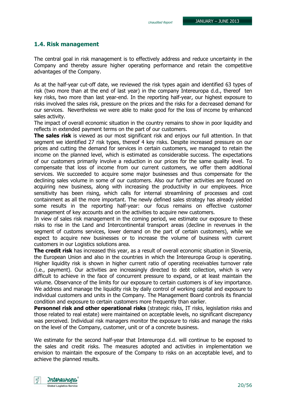#### 1.4. Risk management

The central goal in risk management is to effectively address and reduce uncertainty in the Company and thereby assure higher operating performance and retain the competitive advantages of the Company.

As at the half-year cut-off date, we reviewed the risk types again and identified 63 types of risk (two more than at the end of last year) in the company Intereuropa d.d., thereof ten key risks, two more than last year-end. In the reporting half-year, our highest exposure to risks involved the sales risk, pressure on the prices and the risks for a decreased demand for our services. Nevertheless we were able to make good for the loss of income by enhanced sales activity.

The impact of overall economic situation in the country remains to show in poor liquidity and reflects in extended payment terms on the part of our customers.

**The sales risk** is viewed as our most significant risk and enjoys our full attention. In that segment we identified 27 risk types, thereof 4 key risks. Despite increased pressure on our prices and cutting the demand for services in certain customers, we managed to retain the income on the planned level, which is estimated as considerable success. The expectations of our customers primarily involve a reduction in our prices for the same quality level. To compensate that loss of income from our current customers, we offer them additional services. We succeeded to acquire some major businesses and thus compensate for the declining sales volume in some of our customers. Also our further activities are focused on acquiring new business, along with increasing the productivity in our employees. Price sensitivity has been rising, which calls for internal streamlining of processes and cost containment as all the more important. The newly defined sales strategy has already yielded some results in the reporting half-year: our focus remains on effective customer management of key accounts and on the activities to acquire new customers.

In view of sales risk management in the coming period, we estimate our exposure to these risks to rise in the Land and Intercontinental transport areas (decline in revenues in the segment of customs services, lower demand on the part of certain customers), while we expect to acquire new businesses or to increase the volume of business with current customers in our Logistics solutions area.

The credit risk has increased this year, as a result of overall economic situation in Slovenia, the European Union and also in the countries in which the Intereuropa Group is operating. Higher liquidity risk is shown in higher current ratio of operating receivables turnover rate (i.e., payment). Our activities are increasingly directed to debt collection, which is very difficult to achieve in the face of concurrent pressure to expand, or at least maintain the volume. Observance of the limits for our exposure to certain customers is of key importance. We address and manage the liquidity risk by daily control of working capital and exposure to individual customers and units in the Company. The Management Board controls its financial condition and exposure to certain customers more frequently than earlier.

Personnel risk and other operational risks (strategic risks, IT risks, legislation risks and those related to real estate) were maintained on acceptable levels, no significant discrepancy was perceived. Individual risk managers monitor the exposure to risks and manage the risks on the level of the Company, customer, unit or of a concrete business.

We estimate for the second half-year that Intereuropa d.d. will continue to be exposed to the sales and credit risks. The measures adopted and activities in implementation we envision to maintain the exposure of the Company to risks on an acceptable level, and to achieve the planned results.

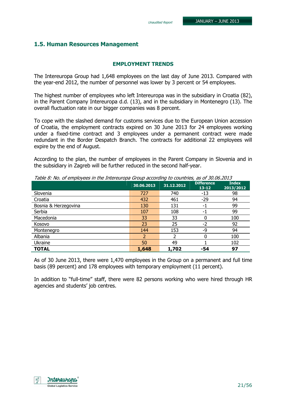#### 1.5. Human Resources Management

#### EMPLOYMENT TRENDS

The Intereuropa Group had 1,648 employees on the last day of June 2013. Compared with the year-end 2012, the number of personnel was lower by 3 percent or 54 employees.

The highest number of employees who left Intereuropa was in the subsidiary in Croatia (82), in the Parent Company Intereuropa d.d. (13), and in the subsidiary in Montenegro (13). The overall fluctuation rate in our bigger companies was 8 percent.

To cope with the slashed demand for customs services due to the European Union accession of Croatia, the employment contracts expired on 30 June 2013 for 24 employees working under a fixed-time contract and 3 employees under a permanent contract were made redundant in the Border Despatch Branch. The contracts for additional 22 employees will expire by the end of August.

According to the plan, the number of employees in the Parent Company in Slovenia and in the subsidiary in Zagreb will be further reduced in the second half-year.

| radio of fior of employeed in the mitchedlopa eroup according to countriedy as of sondormous |            |            |                                |                           |
|----------------------------------------------------------------------------------------------|------------|------------|--------------------------------|---------------------------|
|                                                                                              | 30.06.2013 | 31.12.2012 | <b>Difference</b><br>$13 - 12$ | <b>Index</b><br>2013/2012 |
| Slovenia                                                                                     | 727        | 740        | $-13$                          | 98                        |
| Croatia                                                                                      | 432        | 461        | $-29$                          | 94                        |
| Bosnia & Herzegovina                                                                         | 130        | 131        | - 1                            | 99                        |
| Serbia                                                                                       | 107        | 108        | - 1                            | 99                        |
| Macedonia                                                                                    | 33         | 33         |                                | 100                       |
| Kosovo                                                                                       | 23         | 25         | -2                             | 92                        |
| Montenegro                                                                                   | 144        | 153        | -9                             | 94                        |
| Albania                                                                                      |            |            |                                | 100                       |
| Ukraine                                                                                      | 50         | 49         |                                | 102                       |
| <b>TOTAL</b>                                                                                 | 1,648      | 1,702      | -54                            | 97                        |

Table  $8:$  No. of employees in the Intereuropa Group according to countries, as of 30.06.2013

As of 30 June 2013, there were 1,470 employees in the Group on a permanent and full time basis (89 percent) and 178 employees with temporary employment (11 percent).

In addition to "full-time" staff, there were 82 persons working who were hired through HR agencies and students' job centres.

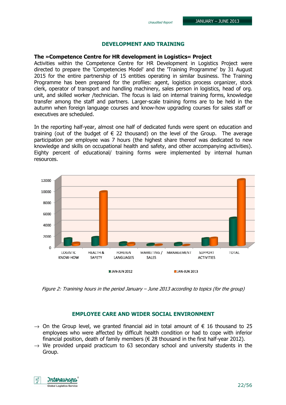#### DEVELOPMENT AND TRAINING

#### The »Competence Centre for HR development in Logistics« Project

Activities within the Competence Centre for HR Development in Logistics Project were directed to prepare the 'Competencies Model' and the 'Training Programme' by 31 August 2015 for the entire partnership of 15 entities operating in similar business. The Training Programme has been prepared for the profiles: agent, logistics process organizer, stock clerk, operator of transport and handling machinery, sales person in logistics, head of org. unit, and skilled worker /technician. The focus is laid on internal training forms, knowledge transfer among the staff and partners. Larger-scale training forms are to be held in the autumn when foreign language courses and know-how upgrading courses for sales staff or executives are scheduled.

In the reporting half-year, almost one half of dedicated funds were spent on education and training (out of the budget of  $\epsilon$  22 thousand) on the level of the Group. The average participation per employee was 7 hours (the highest share thereof was dedicated to new knowledge and skills on occupational health and safety, and other accompanying activities). Eighty percent of educational/ training forms were implemented by internal human resources.



Figure 2: Tranining hours in the period January – June 2013 according to topics (for the group)

#### EMPLOYEE CARE AND WIDER SOCIAL ENVIRONMENT

- $\rightarrow$  On the Group level, we granted financial aid in total amount of  $\epsilon$  16 thousand to 25 employees who were affected by difficult health condition or had to cope with inferior financial position, death of family members ( $\epsilon$  28 thousand in the first half-year 2012).
- $\rightarrow$  We provided unpaid practicum to 63 secondary school and university students in the Group.

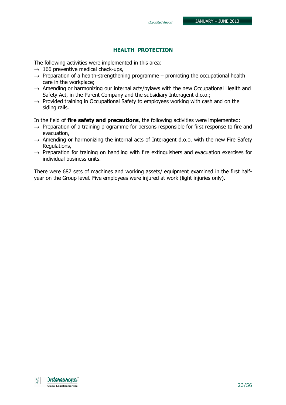#### HEALTH PROTECTION

The following activities were implemented in this area:

- $\rightarrow$  166 preventive medical check-ups,
- $\rightarrow$  Preparation of a health-strengthening programme promoting the occupational health care in the workplace;
- $\rightarrow$  Amending or harmonizing our internal acts/bylaws with the new Occupational Health and Safety Act, in the Parent Company and the subsidiary Interagent d.o.o.;
- $\rightarrow$  Provided training in Occupational Safety to employees working with cash and on the siding rails.

In the field of fire safety and precautions, the following activities were implemented:

- $\rightarrow$  Preparation of a training programme for persons responsible for first response to fire and evacuation,
- $\rightarrow$  Amending or harmonizing the internal acts of Interagent d.o.o. with the new Fire Safety Regulations,
- $\rightarrow$  Preparation for training on handling with fire extinguishers and evacuation exercises for individual business units.

There were 687 sets of machines and working assets/ equipment examined in the first halfyear on the Group level. Five employees were injured at work (light injuries only).

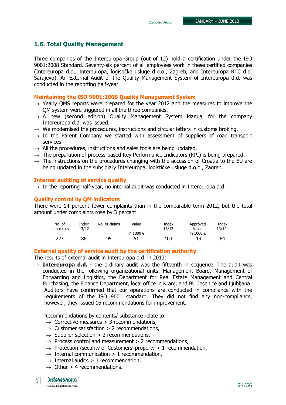#### 1.6. Total Quality Management

Three companies of the Intereuropa Group (out of 12) hold a certification under the ISO 9001:2008 Standard. Seventy-six percent of all employees work in these certified companies (Intereuropa d.d., Intereuropa, logističke usluge d.o.o., Zagreb, and Intereuropa RTC d.d. Sarajevo). An External Audit of the Quality Management System of Intereuropa d.d. was conducted in the reporting half-year.

#### Maintaining the ISO 9001:2008 Quality Management System

- $\rightarrow$  Yearly OMS reports were prepared for the year 2012 and the measures to improve the QM system were triggered in all the three companies.
- $\rightarrow$  A new (second edition) Quality Management System Manual for the company Intereuropa d.d. was issued.
- $\rightarrow$  We modernised the procedures, instructions and circular letters in customs broking.
- $\rightarrow$  In the Parent Company we started with assessment of suppliers of road transport services.
- $\rightarrow$  All the procedures, instructions and sales tools are being updated.
- $\rightarrow$  The preparation of process-based Key Performance Indicators (KPI) is being prepared.
- $\rightarrow$  The instructions on the procedures changing with the accession of Croatia to the EU are being updated in the subsidiary Intereuropa, logističke usluge d.o.o., Zagreb.

#### Internal auditing of service quality

 $\rightarrow$  In the reporting half-year, no internal audit was conducted in Intereuropa d.d.

#### Quality control by QM indicators

There were 14 percent fewer complaints than in the comparable term 2012, but the total amount under complaints rose by 3 percent.

| No. of<br>complaints | Index<br>13/12 | No. of claims | Value         | Index<br>13/12 | Approved<br>Value  | Index<br>13/12 |
|----------------------|----------------|---------------|---------------|----------------|--------------------|----------------|
|                      |                |               | in 1000 $\in$ |                | in 1000 $\epsilon$ |                |
| 223                  | 86             | 95            |               | 103            |                    | 84             |

#### External quality of service audit by the certification authority

The results of external audit in Intereuropa d.d. in 2013:

 $\rightarrow$  Intereuropa d.d. - the ordinary audit was the fifteenth in sequence. The audit was conducted in the following organizational units: Management Board, Management of Forwarding and Logistics, the Department for Real Estate Management and Central Purchasing, the Finance Department, local office in Kranj, and BU Jesenice and Ljubljana. Auditors have confirmed that our operations are conducted in compliance with the requirements of the ISO 9001 standard. They did not find any non-compliance, however, they issued 16 recommendations for improvement.

Recommendations by contents/ substance relate to:

- $\rightarrow$  Corrective measures  $> 3$  recommendations,
- $\rightarrow$  Customer satisfaction > 2 recommendations,
- $\rightarrow$  Supplier selection > 2 recommendations,
- $\rightarrow$  Process control and measurement  $> 2$  recommendations,
- $\rightarrow$  Protection /security of Customers' property  $> 1$  recommendation,
- $\rightarrow$  Internal communication > 1 recommendation,
- $\rightarrow$  Internal audits  $> 1$  recommendation,
- $\rightarrow$  Other > 4 recommendations.

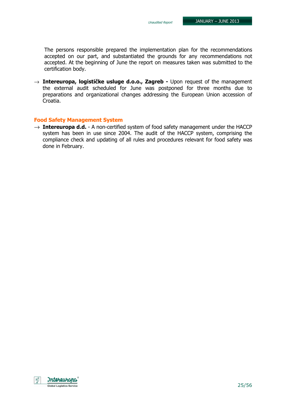The persons responsible prepared the implementation plan for the recommendations accepted on our part, and substantiated the grounds for any recommendations not accepted. At the beginning of June the report on measures taken was submitted to the certification body.

 $\rightarrow$  Intereuropa, logističke usluge d.o.o., Zagreb - Upon request of the management the external audit scheduled for June was postponed for three months due to preparations and organizational changes addressing the European Union accession of Croatia.

#### Food Safety Management System

 $\rightarrow$  Intereuropa d.d. - A non-certified system of food safety management under the HACCP system has been in use since 2004. The audit of the HACCP system, comprising the compliance check and updating of all rules and procedures relevant for food safety was done in February.

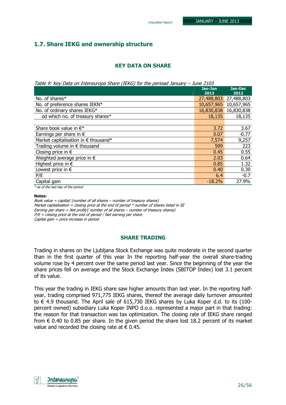# 1.7. Share IEKG and ownership structure

#### KEY DATA ON SHARE

Table 9: Key Data on Intereuropa Share (IEKG) for the perioad January – June 2103

|                                       | Jan-Jun<br>2013 | Jan-Dec<br>2012 |
|---------------------------------------|-----------------|-----------------|
| No. of shares*                        | 27,488,803      | 27,488,803      |
| No. of preference shares IEKN*        | 10,657,965      | 10,657,965      |
| No. of ordinary shares IEKG*          | 16,830,838      | 16,830,838      |
| od which no. of treasury shares*      | 18,135          | 18,135          |
|                                       |                 |                 |
| Share book value in $\in^*$           | 3.72            | 3.67            |
| Earnings per share in $\epsilon$      | 0.07            | $-0.77$         |
| Market capitalisation in € thousand*  | 7,574           | 9,257           |
| Trading volume in $\epsilon$ thousand | 599             | 223             |
| Closing price in $\epsilon$           | 0.45            | 0.55            |
| Weighted average price in $\epsilon$  | 2.03            | 0.64            |
| Highest price in $\epsilon$           | 0.85            | 1.32            |
| Lowest price in $\epsilon$            | 0.40            | 0.30            |
| P/E                                   | 6.4             | $-0.7$          |
| Capital gain                          | $-18.2%$        | 27.9%           |

\* as of the last day of the period

#### Notes:

Book value = capital/ (number of all shares – number of treasury shares) Market capitalisation = closing price at the end of period  $*$  number of shares listed in SE Earning per share = Net profit/( number of all shares – number of treasury shares)  $P/E = c$  cosing price at the end of period / Net earning per share Capital gain = price increase in period

#### SHARE TRADING

Trading in shares on the Ljubljana Stock Exchange was quite moderate in the second quarter than in the first quarter of this year In the reporting half-year the overall share-trading volume rose by 4 percent over the same period last year. Since the beginning of the year the share prices fell on average and the Stock Exchange Index (SBITOP Index) lost 3.1 percent of its value.

This year the trading in IEKG share saw higher amounts than last year. In the reporting halfyear, trading comprised 971,775 IEKG shares, thereof the average daily turnover amounted to € 4.9 thousand. The April sale of 615,730 IEKG shares by Luka Koper d.d. to its (100 percent owned) subsidiary Luka Koper INPO d.o.o. represented a major part in that trading: the reason for that transaction was tax optimization. The closing rate of IEKG share ranged from  $\epsilon$  0.40 to 0.85 per share. In the given period the share lost 18.2 percent of its market value and recorded the closing rate at  $\epsilon$  0.45.

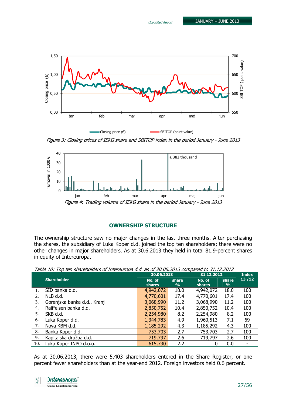

Figure 3: Closing prices of IEKG share and SBITOP index in the period January - June 2013



#### OWNERSHIP STRUCTURE

The ownership structure saw no major changes in the last three months. After purchasing the shares, the subsidiary of Luka Koper d.d. joined the top ten shareholders; there were no other changes in major shareholders. As at 30.6.2013 they held in total 81.9-percent shares in equity of Intereuropa.

|  | Table 10: Top ten shareholders of Intereuropa d.d. as of 30.06.2013 compared to 31.12.2012 |
|--|--------------------------------------------------------------------------------------------|
|--|--------------------------------------------------------------------------------------------|

|     |                             | 30.06.2013              |                        | 31.12.2012              | <b>Index</b>           |       |
|-----|-----------------------------|-------------------------|------------------------|-------------------------|------------------------|-------|
|     | <b>Shareholder</b>          | No. of<br><b>shares</b> | share<br>$\frac{9}{6}$ | No. of<br><b>shares</b> | share<br>$\frac{9}{6}$ | 13/12 |
|     | SID banka d.d.              | 4,942,072               | 18.0                   | 4,942,072               | 18.0                   | 100   |
| 2.  | NLB d.d.                    | 4,770,601               | 17.4                   | 4,770,601               | 17.4                   | 100   |
| 3.  | Gorenjska banka d.d., Kranj | 3,068,990               | 11.2                   | 3,068,990               | 11.2                   | 100   |
| 4.  | Raiffeisen banka d.d.       | 2,850,752               | 10.4                   | 2,850,752               | 10.4                   | 100   |
| 5.  | SKB d.d.                    | 2,254,980               | 8.2                    | 2,254,980               | 8.2                    | 100   |
| 6.  | Luka Koper d.d.             | 1,344,783               | 4.9                    | 1,960,513               | 7.1                    | 69    |
| 7.  | Nova KBM d.d.               | 1,185,292               | 4.3                    | 1,185,292               | 4.3                    | 100   |
| 8.  | Banka Koper d.d.            | 753,703                 | 2.7                    | 753,703                 | 2.7                    | 100   |
| 9.  | Kapitalska družba d.d.      | 719,797                 | 2.6                    | 719,797                 | 2.6                    | 100   |
| 10. | Luka Koper INPO d.o.o.      | 615,730                 | 2.2                    |                         | 0.0                    |       |

As at 30.06.2013, there were 5,403 shareholders entered in the Share Register, or one percent fewer shareholders than at the year-end 2012. Foreign investors held 0.6 percent.

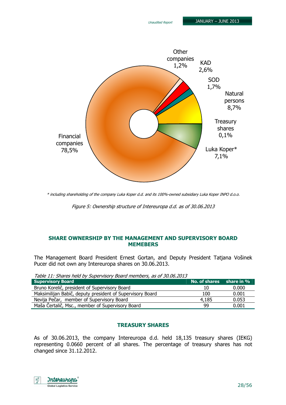

\* including shareholding of the company Luka Koper d.d. and its 100%-owned subsidiary Luka Koper INPO d.o.o.

Figure 5: Ownership structure of Intereuropa d.d. as of 30.06.2013

#### SHARE OWNERSHIP BY THE MANAGEMENT AND SUPERVISORY BOARD **MEMEBERS**

The Management Board President Ernest Gortan, and Deputy President Tatjana Vošinek Pucer did not own any Intereuropa shares on 30.06.2013.

| rabic 11. Shares held by Sapervisory Board members, as or Soloo.2013 |                      |            |  |  |
|----------------------------------------------------------------------|----------------------|------------|--|--|
| <b>Supervisory Board</b>                                             | <b>No. of shares</b> | share in % |  |  |
| Bruno Korelič, president of Supervisory Board                        | 10                   | 0.000      |  |  |
| Maksimilijan Babič, deputy president of Supervisory Board            | 100                  | 0.001      |  |  |
| Nevija Pečar, member of Supervisory Board                            | 4,185                | 0.053      |  |  |
| Maša Čertalič, Msc., member of Supervisory Board                     | 99                   | 0.001      |  |  |

Table 11: Shares held by Supervisory Board members, as of 30.06.2013

#### TREASURY SHARES

As of 30.06.2013, the company Intereuropa d.d. held 18,135 treasury shares (IEKG) representing 0.0660 percent of all shares. The percentage of treasury shares has not changed since 31.12.2012.

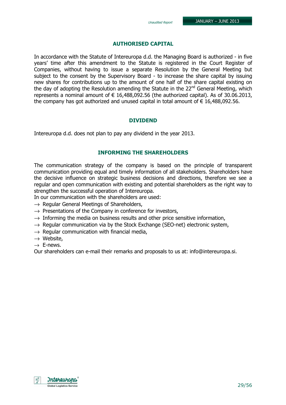#### AUTHORISED CAPITAL

In accordance with the Statute of Intereuropa d.d. the Managing Board is authorized - in five years' time after this amendment to the Statute is registered in the Court Register of Companies, without having to issue a separate Resolution by the General Meeting but subject to the consent by the Supervisory Board - to increase the share capital by issuing new shares for contributions up to the amount of one half of the share capital existing on the day of adopting the Resolution amending the Statute in the  $22<sup>nd</sup>$  General Meeting, which represents a nominal amount of  $\epsilon$  16,488,092.56 (the authorized capital). As of 30.06.2013, the company has got authorized and unused capital in total amount of  $\epsilon$  16,488,092.56.

#### DIVIDEND

Intereuropa d.d. does not plan to pay any dividend in the year 2013.

#### INFORMING THE SHAREHOLDERS

The communication strategy of the company is based on the principle of transparent communication providing equal and timely information of all stakeholders. Shareholders have the decisive influence on strategic business decisions and directions, therefore we see a regular and open communication with existing and potential shareholders as the right way to strengthen the successful operation of Intereuropa.

In our communication with the shareholders are used:

- $\rightarrow$  Regular General Meetings of Shareholders,
- $\rightarrow$  Presentations of the Company in conference for investors,
- $\rightarrow$  Informing the media on business results and other price sensitive information,
- $\rightarrow$  Regular communication via by the Stock Exchange (SEO-net) electronic system,
- $\rightarrow$  Regular communication with financial media,
- $\rightarrow$  Website,
- $\rightarrow$  E-news.

Our shareholders can e-mail their remarks and proposals to us at: info@intereuropa.si.

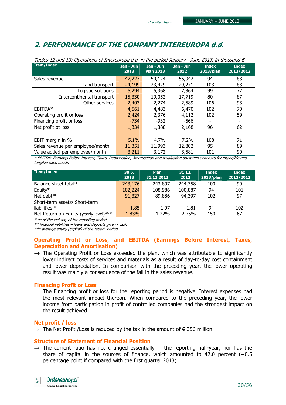# 2. PERFORMANCE OF THE COMPANY INTEREUROPA d.d.

| <b>Item/Index</b>                | Jan - Jun<br>2013 | Jan - Jun<br><b>Plan 2013</b> | $Jan - Jun$<br>2012 | <b>Index</b><br>2013/plan | <b>Index</b><br>2013/2012 |
|----------------------------------|-------------------|-------------------------------|---------------------|---------------------------|---------------------------|
| Sales revenue                    | 47,227            | 50,124                        | 56,942              | 94                        | 83                        |
| Land transport                   | 24,199            | 23,429                        | 29,271              | 103                       | 83                        |
| Logistic solutions               | 5,294             | 5,368                         | 7,364               | 99                        | 72                        |
| Intercontinental transport       | 15,330            | 19,052                        | 17,719              | 80                        | 87                        |
| Other services                   | 2,403             | 2,274                         | 2,589               | 106                       | 93                        |
| EBITDA*                          | 4,561             | 4,483                         | 6,470               | 102                       | 70                        |
| Operating profit or loss         | 2,424             | 2,376                         | 4,112               | 102                       | 59                        |
| Financing profit or loss         | $-734$            | $-932$                        | $-566$              |                           |                           |
| Net profit ot loss               | 1,334             | 1,388                         | 2,168               | 96                        | 62                        |
|                                  |                   |                               |                     |                           |                           |
| EBIT margin in %                 | 5.1%              | 4.7%                          | $7.2\%$             | 108                       | 71                        |
| Sales revenue per employee/month | 11.351            | 11.993                        | 12.802              | 95                        | 89                        |
| Value added per employee/month   | 3.211             | 3.172                         | 3,581               | 101                       | 90                        |

# Tables 12 and 13: Operations of Intereuropa d.d. in the period January - June 2013, in thousand  $\in$

\* EBITDA: Earnings Before Interest, Taxes, Depreciation, Amortisation and revaluation operating expenses for intangible and tangible fixed assets

| Item/Index                             | 30.6.<br>2013 | <b>Plan</b><br>31.12.2013 | 31.12.<br>2012 | <b>Index</b><br>2013/plan | <b>Index</b><br>2013/2012 |
|----------------------------------------|---------------|---------------------------|----------------|---------------------------|---------------------------|
| Balance sheet total*                   | 243,176       | 243,897                   | 244,758        | 100                       | 99                        |
| Equity*                                | 102,224       | 108,986                   | 100,887        | 94                        | 101                       |
| Net debt**                             | 91,327        | 89,886                    | 94,397         | 102                       | 97                        |
| Short-term assets/ Short-term          |               |                           |                |                           |                           |
| liabilities $*$                        | 1.85          | 1.97                      | 1.81           | 94                        | 102                       |
| Net Return on Equity (yearly level)*** | 1.83%         | 1.22%                     | 2.75%          | 150                       | 67                        |

\* as of the last day of the reporting period

\*\* financial liabilities – loans and deposits given - cash

\*\*\* average equity (capital) of the report. period

#### Operating Profit or Loss, and EBITDA (Earnings Before Interest, Taxes, Depreciation and Amortisation)

 $\rightarrow$  The Operating Profit or Loss exceeded the plan, which was attributable to significantly lower indirect costs of services and materials as a result of day-to-day cost containment and lower depreciation. In comparison with the preceding year, the lower operating result was mainly a consequence of the fall in the sales revenue.

#### Financing Profit or Loss

 $\rightarrow$  The Financing profit or loss for the reporting period is negative. Interest expenses had the most relevant impact thereon. When compared to the preceding year, the lower income from participation in profit of controlled companies had the strongest impact on the result achieved.

#### Net profit / loss

 $\rightarrow$  The Net Profit /Loss is reduced by the tax in the amount of  $\epsilon$  356 million.

#### Structure of Statement of Financial Position

 $\rightarrow$  The current ratio has not changed essentially in the reporting half-year, nor has the share of capital in the sources of finance, which amounted to  $42.0$  percent  $(+0.5)$ percentage point if compared with the first quarter 2013).

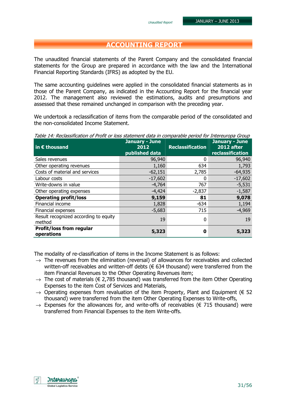### ACCOUNTING REPORT

The unaudited financial statements of the Parent Company and the consolidated financial statements for the Group are prepared in accordance with the law and the International Financial Reporting Standards (IFRS) as adopted by the EU.

The same accounting guidelines were applied in the consolidated financial statements as in those of the Parent Company, as indicated in the Accounting Report for the financial year 2012. The management also reviewed the estimations, audits and presumptions and assessed that these remained unchanged in comparison with the preceding year.

We undertook a reclassification of items from the comparable period of the consolidated and the non-consolidated Income Statement.

Table 14: Reclassification of Profit or loss statement data in comparable period for Intereuropa Group

| $\vert$ in $\epsilon$ thousand                  | January - June<br>2012<br>published data | <b>Reclassification</b> | January - June<br><b>2012 after</b><br>reclassification |
|-------------------------------------------------|------------------------------------------|-------------------------|---------------------------------------------------------|
| Sales revenues                                  | 96,940                                   | 0                       | 96,940                                                  |
| Other operating revenues                        | 1,160                                    | 634                     | 1,793                                                   |
| Costs of material and services                  | $-62,151$                                | 2,785                   | $-64,935$                                               |
| Labour costs                                    | $-17,602$                                | 0                       | $-17,602$                                               |
| Write-downs in value                            | $-4,764$                                 | 767                     | $-5,531$                                                |
| Other operating expenses                        | $-4,424$                                 | $-2,837$                | $-1,587$                                                |
| <b>Operating profit/loss</b>                    | 9,159                                    | 81                      | 9,078                                                   |
| Financial income                                | 1,828                                    | $-634$                  | 1,194                                                   |
| Financial expenses                              | $-5,683$                                 | 715                     | $-4,969$                                                |
| Result recognized according to equity<br>method | 19                                       | 0                       | 19                                                      |
| <b>Profit/loss from regular</b><br>operations   | 5,323                                    | 0                       | 5,323                                                   |

The modality of re-classification of items in the Income Statement is as follows:

- $\rightarrow$  The revenues from the elimination (reversal) of allowances for receivables and collected written-off receivables and written-off debts (€ 634 thousand) were transferred from the item Financial Revenues to the Other Operating Revenues item;
- $\rightarrow$  The cost of materials ( $\in$  2,785 thousand) was transferred from the item Other Operating Expenses to the item Cost of Services and Materials,
- $\rightarrow$  Operating expenses from revaluation of the item Property, Plant and Equipment ( $\in$  52 thousand) were transferred from the item Other Operating Expenses to Write-offs,
- $\rightarrow$  Expenses for the allowances for, and write-offs of receivables ( $\epsilon$  715 thousand) were transferred from Financial Expenses to the item Write-offs.

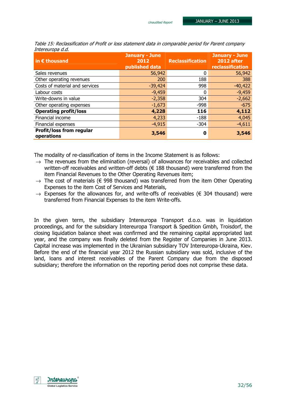| in $\epsilon$ thousand                        | <b>January - June</b><br>2012<br>published data | <b>Reclassification</b> | <b>January - June</b><br>2012 after<br>reclassification |
|-----------------------------------------------|-------------------------------------------------|-------------------------|---------------------------------------------------------|
| Sales revenues                                | 56,942                                          | O                       | 56,942                                                  |
| Other operating revenues                      | 200                                             | 188                     | 388                                                     |
| Costs of material and services                | $-39,424$                                       | 998                     | $-40,422$                                               |
| Labour costs                                  | $-9,459$                                        | 0                       | $-9,459$                                                |
| Write-downs in value                          | $-2,358$                                        | 304                     | $-2,662$                                                |
| Other operating expenses                      | $-1,673$                                        | $-998$                  | $-675$                                                  |
| <b>Operating profit/loss</b>                  | 4,228                                           | 116                     | 4,112                                                   |
| Financial income                              | 4,233                                           | $-188$                  | 4,045                                                   |
| Financial expenses                            | $-4,915$                                        | $-304$                  | $-4,611$                                                |
| <b>Profit/loss from regular</b><br>operations | 3,546                                           | 0                       | 3,546                                                   |

Table 15: Reclassification of Profit or loss statement data in comparable period for Parent company Intereuropa d.d.

The modality of re-classification of items in the Income Statement is as follows:

- $\rightarrow$  The revenues from the elimination (reversal) of allowances for receivables and collected written-off receivables and written-off debts (€ 188 thousand) were transferred from the item Financial Revenues to the Other Operating Revenues item;
- $\rightarrow$  The cost of materials ( $\in$  998 thousand) was transferred from the item Other Operating Expenses to the item Cost of Services and Materials,
- $\rightarrow$  Expenses for the allowances for, and write-offs of receivables ( $\epsilon$  304 thousand) were transferred from Financial Expenses to the item Write-offs.

In the given term, the subsidiary Intereuropa Transport d.o.o. was in liquidation proceedings, and for the subsidiary Intereuropa Transport & Spedition Gmbh, Troisdorf, the closing liquidation balance sheet was confirmed and the remaining capital appropriated last year, and the company was finally deleted from the Register of Companies in June 2013. Capital increase was implemented in the Ukrainian subsidiary TOV Intereuropa-Ukraina, Kiev. Before the end of the financial year 2012 the Russian subsidiary was sold, inclusive of the land, loans and interest receivables of the Parent Company due from the disposed subsidiary; therefore the information on the reporting period does not comprise these data.

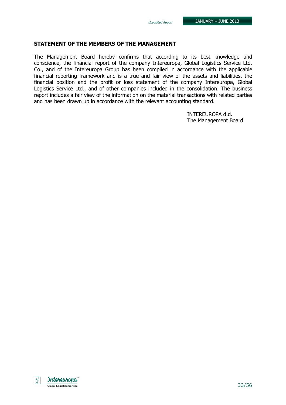#### STATEMENT OF THE MEMBERS OF THE MANAGEMENT

The Management Board hereby confirms that according to its best knowledge and conscience, the financial report of the company Intereuropa, Global Logistics Service Ltd. Co., and of the Intereuropa Group has been compiled in accordance with the applicable financial reporting framework and is a true and fair view of the assets and liabilities, the financial position and the profit or loss statement of the company Intereuropa, Global Logistics Service Ltd., and of other companies included in the consolidation. The business report includes a fair view of the information on the material transactions with related parties and has been drawn up in accordance with the relevant accounting standard.

> INTEREUROPA d.d. The Management Board

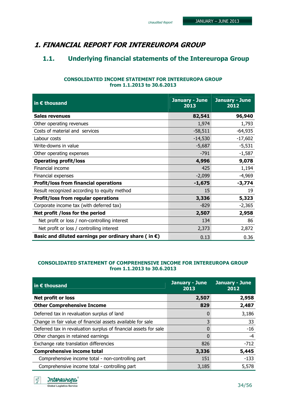# 1. FINANCIAL REPORT FOR INTEREUROPA GROUP

# 1.1. Underlying financial statements of the Intereuropa Group

#### CONSOLIDATED INCOME STATEMENT FOR INTEREUROPA GROUP from 1.1.2013 to 30.6.2013

| in $\epsilon$ thousand                                         | January - June<br>2013 | January - June<br>2012 |
|----------------------------------------------------------------|------------------------|------------------------|
| Sales revenues                                                 | 82,541                 | 96,940                 |
| Other operating revenues                                       | 1,974                  | 1,793                  |
| Costs of material and services                                 | $-58,511$              | $-64,935$              |
| Labour costs                                                   | $-14,530$              | $-17,602$              |
| Write-downs in value                                           | $-5,687$               | $-5,531$               |
| Other operating expenses                                       | $-791$                 | $-1,587$               |
| <b>Operating profit/loss</b>                                   | 4,996                  | 9,078                  |
| Financial income                                               | 425                    | 1,194                  |
| Financial expenses                                             | $-2,099$               | $-4,969$               |
| <b>Profit/loss from financial operations</b>                   | $-1,675$               | $-3,774$               |
| Result recognized according to equity method                   | 15                     | 19                     |
| <b>Profit/loss from regular operations</b>                     | 3,336                  | 5,323                  |
| Corporate income tax (with deferred tax)                       | $-829$                 | $-2,365$               |
| Net profit /loss for the period                                | 2,507                  | 2,958                  |
| Net profit or loss / non-controlling interest                  | 134                    | 86                     |
| Net profit or loss / controlling interest                      | 2,373                  | 2,872                  |
| Basic and diluted earnings per ordinary share (in $\epsilon$ ) | 0.13                   | 0.36                   |

#### CONSOLIDATED STATEMENT OF COMPREHENSIVE INCOME FOR INTEREUROPA GROUP from 1.1.2013 to 30.6.2013

| in $\epsilon$ thousand                                           | January - June<br>2013 | January - June<br>2012 |
|------------------------------------------------------------------|------------------------|------------------------|
| Net profit or loss                                               | 2,507                  | 2,958                  |
| <b>Other Comprehensive Income</b>                                | 829                    | 2,487                  |
| Deferred tax in revaluation surplus of land                      |                        | 3,186                  |
| Change in fair value of financial assets available for sale      | 3                      | 33                     |
| Deferred tax in revaluation surplus of financial assets for sale |                        | $-16$                  |
| Other changes in retained earnings                               |                        | $-4$                   |
| Exchange rate translation differencies                           | 826                    | $-712$                 |
| <b>Comprehensive income total</b>                                | 3,336                  | 5,445                  |
| Comprehensive income total - non-controlling part                | 151                    | $-133$                 |
| Comprehensive income total - controlling part                    | 3,185                  | 5,578                  |

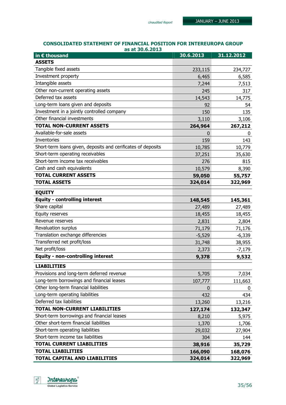#### CONSOLIDATED STATEMENT OF FINANCIAL POSITION FOR INTEREUROPA GROUP as at 30.6.2013

| in € thousand                                                | 30.6.2013        | 31.12.2012 |
|--------------------------------------------------------------|------------------|------------|
| <b>ASSETS</b>                                                |                  |            |
| Tangible fixed assets                                        | 233,115          | 234,727    |
| Investment property                                          | 6,465            | 6,585      |
| Intangible assets                                            | 7,244            | 7,513      |
| Other non-current operating assets                           | 245              | 317        |
| Deferred tax assets                                          | 14,543           | 14,775     |
| Long-term loans given and deposits                           | 92               | 54         |
| Investment in a jointly controlled company                   | 150              | 135        |
| Other financial investments                                  | 3,110            | 3,106      |
| <b>TOTAL NON-CURRENT ASSETS</b>                              | 264,964          | 267,212    |
| Available-for-sale assets                                    | 0                | 0          |
| <b>Inventories</b>                                           | 159              | 143        |
| Short-term loans given, deposits and cerificates of deposits | 10,785           | 10,779     |
| Short-term operating receivables                             | 37,251           | 35,630     |
| Short-term income tax receivables                            | 276              | 815        |
| Cash and cash equivalents                                    | 10,579           | 8,390      |
| <b>TOTAL CURRENT ASSETS</b>                                  | 59,050           | 55,757     |
| <b>TOTAL ASSETS</b>                                          | 324,014          | 322,969    |
| <b>EQUITY</b>                                                |                  |            |
| <b>Equity - controlling interest</b>                         | 148,545          | 145,361    |
| Share capital                                                | 27,489           | 27,489     |
| Equity reserves                                              | 18,455           | 18,455     |
| Revenue reserves                                             | 2,831            | 2,804      |
| Revaluation surplus                                          | 71,179           | 71,176     |
| Translation exchange differencies                            | $-5,529$         | $-6,339$   |
| Transferred net profit/loss                                  | 31,748           | 38,955     |
| Net profit/loss                                              | 2,373            | $-7,179$   |
| <b>Equity - non-controlling interest</b>                     | 9,378            | 9,532      |
| <b>I TARTI TTTFS</b>                                         |                  |            |
| Provisions and long-term deferred revenue                    | 5,705            | 7,034      |
| Long-term borrowings and financial leases                    | 107,777          | 111,663    |
| Other long-term financial liabilities                        | $\boldsymbol{0}$ | U          |
| Long-term operating liabilities                              | 432              | 434        |
| Deferred tax liabilities                                     | 13,260           | 13,216     |
| TOTAL NON-CURRENT LIABILITIES                                | 127,174          | 132,347    |
| Short-term borrowings and financial leases                   | 8,210            | 5,975      |
| Other short-term financial liabilities                       | 1,370            | 1,706      |
| Short-term operating liabilities                             | 29,032           | 27,904     |
| Short-term income tax liabilities                            | 304              | 144        |
| <b>TOTAL CURRENT LIABILITIES</b>                             | 38,916           | 35,729     |
| <b>TOTAL LIABILITIES</b>                                     | 166,090          | 168,076    |
| TOTAL CAPITAL AND LIABILITIES                                | 324,014          | 322,969    |

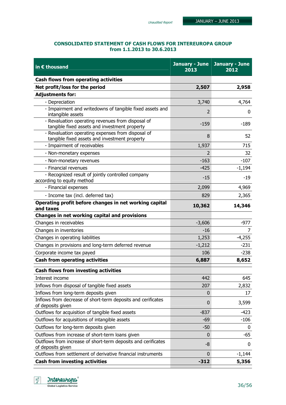#### CONSOLIDATED STATEMENT OF CASH FLOWS FOR INTEREUROPA GROUP from 1.1.2013 to 30.6.2013

| in $\epsilon$ thousand                                                                             | January - June<br>2013 | January - June<br>2012 |
|----------------------------------------------------------------------------------------------------|------------------------|------------------------|
| Cash flows from operating activities                                                               |                        |                        |
| Net profit/loss for the period                                                                     | 2,507                  | 2,958                  |
| <b>Adjustments for:</b>                                                                            |                        |                        |
| - Depreciation                                                                                     | 3,740                  | 4,764                  |
| - Impairment and writedowns of tangible fixed assets and<br>intangible assets                      | 2                      | 0                      |
| - Revaluation operating revenues from disposal of<br>tangible fixed assets and investment property | $-159$                 | $-189$                 |
| - Revaluation operating expenses from disposal of<br>tangible fixed assets and investment property | 8                      | 52                     |
| - Impairment of receivables                                                                        | 1,937                  | 715                    |
| - Non-monetary expenses                                                                            | $\overline{2}$         | 32                     |
| - Non-monetary revenues                                                                            | $-163$                 | $-107$                 |
| - Financial revenues                                                                               | $-425$                 | $-1,194$               |
| - Recognized result of jointly controlled company<br>according to equity method                    | $-15$                  | $-19$                  |
| - Financial expenses                                                                               | 2,099                  | 4,969                  |
| - Income tax (incl. deferred tax)                                                                  | 829                    | 2,365                  |
| Operating profit before changes in net working capital<br>and taxes                                | 10,362                 | 14,346                 |
| Changes in net working capital and provisions                                                      |                        |                        |
| Changes in receivables                                                                             | $-3,606$               | $-977$                 |
| Changes in inventories                                                                             | $-16$                  | 7                      |
| Changes in operating liabilities                                                                   | 1,253                  | $-4,255$               |
| Changes in provisions and long-term deferred revenue                                               | $-1,212$               | $-231$                 |
| Corporate income tax payed                                                                         | 106                    | $-238$                 |
| <b>Cash from operating activities</b>                                                              | 6,887                  | 8,652                  |
| <b>Cash flows from investing activities</b>                                                        |                        |                        |
| Interest income                                                                                    | 442                    | 645                    |
| Inflows from disposal of tangible fixed assets                                                     | 207                    | 2,832                  |
| Inflows from long-term deposits given                                                              | 0                      | 17                     |
| Inflows from decrease of short-term deposits and cerificates<br>of deposits given                  | 0                      | 3,599                  |
| Outflows for acquisition of tangible fixed assets                                                  | $-837$                 | $-423$                 |
| Outflows for acquisitions of intangible assets                                                     | $-69$                  | $-106$                 |
| Outflows for long-term deposits given                                                              | $-50$                  | 0                      |
| Outflows from increase of short-term loans given                                                   | 0                      | $-65$                  |
| Outflows from increase of short-term deposits and cerificates<br>of deposits given                 | -8                     | 0                      |
| Outflows from settlement of derivative financial instruments                                       | $\mathbf{0}$           | $-1,144$               |
| <b>Cash from investing activities</b>                                                              | $-312$                 | 5,356                  |

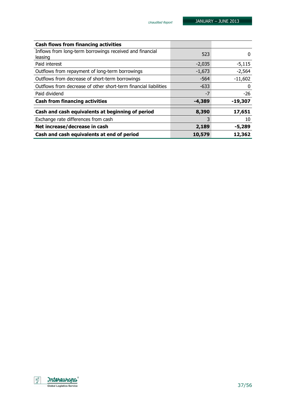| <b>Cash flows from financing activities</b>                      |          |           |
|------------------------------------------------------------------|----------|-----------|
| Inflows from long-term borrowings received and financial         | 523      | O         |
| leasing                                                          |          |           |
| Paid interest                                                    | $-2,035$ | $-5,115$  |
| Outflows from repayment of long-term borrowings                  | $-1,673$ | $-2,564$  |
| Outflows from decrease of short-term borrowings                  | $-564$   | $-11,602$ |
| Outflows from decrease of other short-term financial liabilities | $-633$   | 0         |
| Paid dividend                                                    | -7       | $-26$     |
| <b>Cash from financing activities</b>                            | $-4,389$ | $-19,307$ |
| Cash and cash equivalents at beginning of period                 | 8,390    | 17,651    |
| Exchange rate differences from cash                              | 3        | 10        |
| Net increase/decrease in cash                                    | 2,189    | $-5,289$  |
| Cash and cash equivalents at end of period                       | 10,579   | 12,362    |

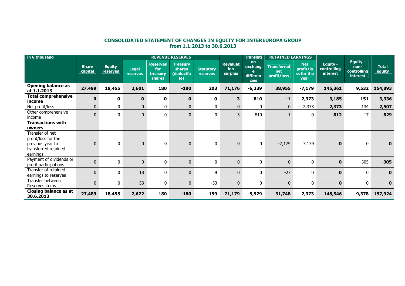# CONSOLIDATED STATEMENT OF CHANGES IN EQUITY FOR INTEREUROPA GROUP from 1.1.2013 to 30.6.2013

| in $\epsilon$ thousand                                                                         |                         |                           |                          |                                                     | <b>REVENUE RESERVES</b>                              |                              |                                   | <b>Translati</b>                                         | <b>RETAINED EARNINGS</b>                 |                                               |                                     |                                                    |                        |
|------------------------------------------------------------------------------------------------|-------------------------|---------------------------|--------------------------|-----------------------------------------------------|------------------------------------------------------|------------------------------|-----------------------------------|----------------------------------------------------------|------------------------------------------|-----------------------------------------------|-------------------------------------|----------------------------------------------------|------------------------|
|                                                                                                | <b>Share</b><br>capital | <b>Equity</b><br>reserves | <b>Legal</b><br>reserves | <b>Reserves</b><br>for<br>treasury<br><b>shares</b> | <b>Treasurv</b><br><b>shares</b><br>(deductib<br>le) | <b>Statutory</b><br>reserves | <b>Revaluat</b><br>ion<br>surplus | on<br>exchang<br>$\mathbf{e}$<br>differen<br><b>cies</b> | <b>Transferred</b><br>net<br>profit/loss | <b>Net</b><br>profit/lo<br>ss for the<br>year | Equity -<br>controlling<br>interest | Equity -<br>non-<br>controlling<br><b>interest</b> | <b>Total</b><br>equity |
| <b>Opening balance as</b><br>at 1.1.2013                                                       | 27,489                  | 18,455                    | 2,601                    | 180                                                 | $-180$                                               | 203                          | 71,176                            | $-6,339$                                                 | 38,955                                   | $-7,179$                                      | 145,361                             | 9,532                                              | 154,893                |
| <b>Total comprehensive</b><br>income                                                           | $\mathbf 0$             | 0                         | $\mathbf{0}$             | 0                                                   | $\mathbf{0}$                                         | $\mathbf 0$                  | $\overline{\mathbf{3}}$           | 810                                                      | $-1$                                     | 2,373                                         | 3,185                               | 151                                                | 3,336                  |
| Net profit/loss                                                                                | $\overline{0}$          | 0                         | $\mathbf{0}$             | $\mathbf{0}$                                        | $\overline{0}$                                       | $\mathbf{0}$                 | $\overline{0}$                    | 0                                                        | $\mathbf{0}$                             | 2,373                                         | 2,373                               | 134                                                | 2,507                  |
| Other comprehensive<br>income                                                                  | $\mathbf 0$             | $\mathbf{0}$              | $\mathbf 0$              | 0                                                   | 0                                                    | $\mathbf{0}$                 | $\mathsf{3}$                      | 810                                                      | $-1$                                     | 0                                             | 812                                 | 17                                                 | 829                    |
| <b>Transactions with</b>                                                                       |                         |                           |                          |                                                     |                                                      |                              |                                   |                                                          |                                          |                                               |                                     |                                                    |                        |
| owners                                                                                         |                         |                           |                          |                                                     |                                                      |                              |                                   |                                                          |                                          |                                               |                                     |                                                    |                        |
| Transfer of net<br>profit/loss for the<br>previous year to<br>transferred retained<br>earnings | $\pmb{0}$               | 0                         | $\Omega$                 | $\bf{0}$                                            | $\Omega$                                             | $\mathbf{0}$                 | $\overline{0}$                    | 0                                                        | $-7,179$                                 | 7,179                                         | $\mathbf 0$                         | 0                                                  | $\mathbf 0$            |
| Payment of dividends or<br>profit participations                                               | $\mathbf 0$             | 0                         | $\mathbf 0$              | $\pmb{0}$                                           | $\bf{0}$                                             | 0                            | $\pmb{0}$                         | 0                                                        | $\mathbf{0}$                             | 0                                             | 0                                   | $-305$                                             | $-305$                 |
| Transfer of retained<br>earnings to reserves                                                   | $\mathbf{0}$            | $\mathbf{0}$              | 18                       | 0                                                   | $\Omega$                                             | 9                            | $\mathbf{0}$                      | 0                                                        | $-27$                                    | 0                                             | $\mathbf{0}$                        | 0                                                  | $\mathbf 0$            |
| Transfer between<br>Reserves items                                                             | $\pmb{0}$               | $\mathbf{0}$              | 53                       | $\bf{0}$                                            | $\Omega$                                             | $-53$                        | $\mathbf 0$                       | $\mathbf{0}$                                             | $\bf{0}$                                 | 0                                             | $\mathbf{0}$                        | 0                                                  | $\mathbf{0}$           |
| <b>Closing balance as at</b><br>30.6.2013                                                      | 27,489                  | 18,455                    | 2,672                    | 180                                                 | $-180$                                               | 159                          | 71,179                            | $-5,529$                                                 | 31,748                                   | 2,373                                         | 148,546                             | 9,378                                              | 157,924                |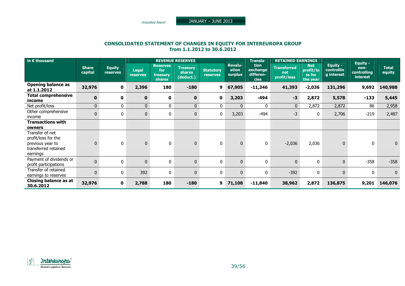Unaudited Report

JANUARY – JUNE <sup>2013</sup>

# CONSOLIDATED STATEMENT OF CHANGES IN EQUITY FOR INTEREUROPA GROUP from 1.1.2012 to 30.6.2012

| in $\epsilon$ thousand                                                                         |                         |                                  |                          |                                                     | <b>REVENUE RESERVES</b>                       |                              |                                    | <b>Transla-</b>                              | <b>RETAINED EARNINGS</b>                 |                                               |                                      | Equity -                               |                        |
|------------------------------------------------------------------------------------------------|-------------------------|----------------------------------|--------------------------|-----------------------------------------------------|-----------------------------------------------|------------------------------|------------------------------------|----------------------------------------------|------------------------------------------|-----------------------------------------------|--------------------------------------|----------------------------------------|------------------------|
|                                                                                                | <b>Share</b><br>capital | <b>Equity</b><br><b>reserves</b> | <b>Legal</b><br>reserves | <b>Reserves</b><br>for<br>treasurv<br><b>shares</b> | <b>Treasury</b><br><b>shares</b><br>(deduct.) | <b>Statutory</b><br>reserves | <b>Revalu-</b><br>ation<br>surplus | tion<br>exchange<br>differen-<br><b>cies</b> | <b>Transferred</b><br>net<br>profit/loss | <b>Net</b><br>profit/lo<br>ss for<br>the year | Equity -<br>controllin<br>g interest | non-<br>controlling<br><b>interest</b> | <b>Total</b><br>equity |
| <b>Opening balance as</b><br>at 1.1.2012                                                       | 32,976                  | $\mathbf 0$                      | 2,396                    | 180                                                 | $-180$                                        | 9                            | 67,905                             | $-11,346$                                    | 41,393                                   | $-2,036$                                      | 131,296                              | 9,692                                  | 140,988                |
| <b>Total comprehensive</b><br>income                                                           | $\mathbf 0$             | 0                                | $\mathbf 0$              | 0                                                   | $\mathbf 0$                                   | 0                            | 3,203                              | -494                                         | $-3$                                     | 2,872                                         | 5,578                                | $-133$                                 | 5,445                  |
| Net profit/loss                                                                                | $\mathbf 0$             | 0                                | $\mathbf{0}$             | $\mathbf{0}$                                        | $\mathbf{0}$                                  | 0                            | $\mathbf{0}$                       | 0                                            | $\mathbf{0}$                             | 2,872                                         | 2,872                                | 86                                     | 2,958                  |
| Other comprehensive<br>income                                                                  | 0                       | 0                                | $\mathbf 0$              | 0                                                   | $\pmb{0}$                                     | 0                            | 3,203                              | $-494$                                       | $-3$                                     | 0                                             | 2,706                                | $-219$                                 | 2,487                  |
| <b>Transactions with</b><br>owners                                                             |                         |                                  |                          |                                                     |                                               |                              |                                    |                                              |                                          |                                               |                                      |                                        |                        |
| Transfer of net<br>profit/loss for the<br>previous year to<br>transferred retained<br>earnings | 0                       | $\mathbf{0}$                     | $\mathbf{0}$             | 0                                                   | $\mathbf{0}$                                  | 0                            | $\Omega$                           | 0                                            | $-2,036$                                 | 2,036                                         | $\mathbf{0}$                         | 0                                      | $\mathbf{0}$           |
| Payment of dividends or<br>profit participations                                               | $\pmb{0}$               | 0                                | $\mathbf{0}$             | 0                                                   | $\pmb{0}$                                     | 0                            | $\mathbf{0}$                       | 0                                            | $\mathbf 0$                              | 0                                             | $\mathbf{0}$                         | $-358$                                 | $-358$                 |
| Transfer of retained<br>earnings to reserves                                                   | $\pmb{0}$               | 0                                | 392                      | 0                                                   | $\pmb{0}$                                     | 0                            | $\mathbf{0}$                       | 0                                            | $-392$                                   | 0                                             | $\mathbf{0}$                         | 0                                      | $\mathbf{0}$           |
| <b>Closing balance as at</b><br>30.6.2012                                                      | 32,976                  | 0                                | 2,788                    | 180                                                 | $-180$                                        | 9                            | 71,108                             | $-11,840$                                    | 38,962                                   | 2,872                                         | 136,875                              | 9,201                                  | 146,076                |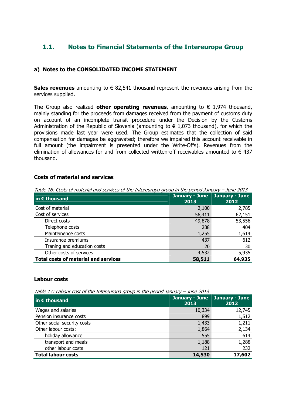# 1.1. Notes to Financial Statements of the Intereuropa Group

#### a) Notes to the CONSOLIDATED INCOME STATEMENT

Sales revenues amounting to  $\epsilon$  82,541 thousand represent the revenues arising from the services supplied.

The Group also realized other operating revenues, amounting to  $\epsilon$  1,974 thousand, mainly standing for the proceeds from damages received from the payment of customs duty on account of an incomplete transit procedure under the Decision by the Customs Administration of the Republic of Slovenia (amounting to  $\epsilon$  1,073 thousand), for which the provisions made last year were used. The Group estimates that the collection of said compensation for damages be aggravated; therefore we impaired this account receivable in full amount (the impairment is presented under the Write-Offs). Revenues from the elimination of allowances for and from collected written-off receivables amounted to  $\in$  437 thousand.

#### Costs of material and services

| $\vert$ in $\epsilon$ thousand              | January - June<br>2013 | January - June<br>2012 |
|---------------------------------------------|------------------------|------------------------|
| Cost of material                            | 2,100                  | 2,785                  |
| Cost of services                            | 56,411                 | 62,151                 |
| Direct costs                                | 49,878                 | 53,556                 |
| Telephone costs                             | 288                    | 404                    |
| Mainteinence costs                          | 1,255                  | 1,614                  |
| Insurance premiums                          | 437                    | 612                    |
| Traning and education costs                 | 20                     | 30                     |
| Other costs of services                     | 4,532                  | 5,935                  |
| <b>Total costs of material and services</b> | 58,511                 | 64,935                 |

Table 16: Costs of material and services of the Intereuropa group in the period January – June 2013

#### Labour costs

Table 17: Labour cost of the Intereuropa group in the period January – June 2013

| $\vert$ in $\epsilon$ thousand | January - June<br>2013 | January - June<br>2012 |
|--------------------------------|------------------------|------------------------|
| Wages and salaries             | 10,334                 | 12,745                 |
| Pension insurance costs        | 899                    | 1,512                  |
| Other social security costs    | 1,433                  | 1,211                  |
| Other labour costs:            | 1,864                  | 2,134                  |
| holiday allowance              | 555                    | 614                    |
| transport and meals            | 1,188                  | 1,288                  |
| other labour costs             | 121                    | 232                    |
| <b>Total labour costs</b>      | 14,530                 | 17,602                 |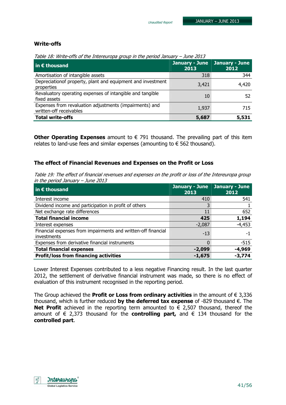#### Write-offs

| $\overline{\mathsf{in}\,\mathsf{E}}$ thousand                                      | January - June<br>2013 | January - June<br>2012 |
|------------------------------------------------------------------------------------|------------------------|------------------------|
| Amortisation of intangible assets                                                  | 318                    | 344                    |
| Depreciation of property, plant and equipment and investment<br>properties         | 3,421                  | 4,420                  |
| Revaluatory operating expenses of intangible and tangible<br>fixed assets          | 10                     | 52                     |
| Expenses from revaluation adjustments (impairments) and<br>written-off receivables | 1,937                  | 715                    |
| <b>Total write-offs</b>                                                            | 5,687                  | 5,531                  |

Table 18: Write-offs of the Intereuropa group in the period January – June 2013

Other Operating Expenses amount to  $\epsilon$  791 thousand. The prevailing part of this item relates to land-use fees and similar expenses (amounting to  $\epsilon$  562 thousand).

#### The effect of Financial Revenues and Expenses on the Profit or Loss

Table 19: The effect of financial revenues and expenses on the profit or loss of the Intereuropa group in the period January – June 2013

| $\vert$ in $\epsilon$ thousand                                               | January - June<br>2013 | January - June<br>2012 |
|------------------------------------------------------------------------------|------------------------|------------------------|
| Interest income                                                              | 410                    | 541                    |
| Dividend income and participation in profit of others                        |                        |                        |
| Net exchange rate differences                                                | 11                     | 652                    |
| <b>Total financial income</b>                                                | 425                    | 1,194                  |
| Interest expenses                                                            | $-2,087$               | $-4,453$               |
| Financial expenses from impairments and written-off financial<br>investments | $-13$                  | -1                     |
| Expenses from derivative financial instruments                               |                        | $-515$                 |
| <b>Total financial expenses</b>                                              | $-2,099$               | $-4,969$               |
| <b>Profit/loss from financing activities</b>                                 | $-1,675$               | $-3,774$               |

Lower Interest Expenses contributed to a less negative Financing result. In the last quarter 2012, the settlement of derivative financial instrument was made, so there is no effect of evaluation of this instrument recognised in the reporting period.

The Group achieved the **Profit or Loss from ordinary activities** in the amount of  $\epsilon$  3,336 thousand, which is further reduced by the deferred tax expense of -829 thousand  $\epsilon$ . The Net Profit achieved in the reporting term amounted to  $\epsilon$  2,507 thousand, thereof the amount of  $\epsilon$  2,373 thousand for the **controlling part**, and  $\epsilon$  134 thousand for the controlled part.

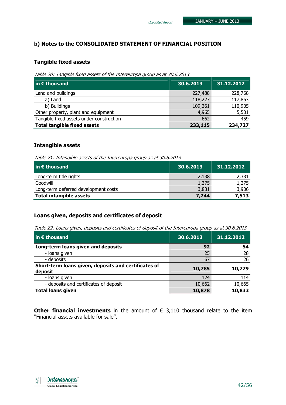#### b) Notes to the CONSOLIDATED STATEMENT OF FINANCIAL POSITION

#### Tangible fixed assets

Table 20: Tangible fixed assets of the Intereuropa group as at 30.6.2013

| $\vert$ in $\epsilon$ thousand           | 30.6.2013 | 31.12.2012 |
|------------------------------------------|-----------|------------|
| Land and buildings                       | 227,488   | 228,768    |
| a) Land                                  | 118,227   | 117,863    |
| b) Buildings                             | 109,261   | 110,905    |
| Other property, plant and equipment      | 4,965     | 5,501      |
| Tangible fixed assets under construction | 662       | 459        |
| <b>Total tangible fixed assets</b>       | 233,115   | 234,727    |

#### Intangible assets

Table 21: Intangible assets of the Intereuropa group as at 30.6.2013

| $\vert$ in $\epsilon$ thousand       | 30.6.2013 | 31.12.2012 |
|--------------------------------------|-----------|------------|
| Long-term title rights               | 2,138     | 2,331      |
| Goodwill                             | 1,275     | 1,275      |
| Long-term deferred development costs | 3,831     | 3,906      |
| <b>Total intangible assets</b>       | 7,244     | 7,513      |

#### Loans given, deposits and certificates of deposit

Table 22: Loans given, deposits and certificates of deposit of the Intereuropa group as at 30.6.2013

| $\vert$ in $\epsilon$ thousand                                  | 30.6.2013 | 31.12.2012 |
|-----------------------------------------------------------------|-----------|------------|
| Long-term loans given and deposits                              | 92        | 54         |
| - loans given                                                   | 25        | 28         |
| - deposits                                                      | 67        | 26         |
| Short-term loans given, deposits and certificates of<br>deposit | 10,785    | 10,779     |
| - loans given                                                   | 124       | 114        |
| - deposits and certificates of deposit                          | 10,662    | 10,665     |
| <b>Total loans given</b>                                        | 10,878    | 10,833     |

Other financial investments in the amount of  $\epsilon$  3,110 thousand relate to the item ''Financial assets available for sale''.

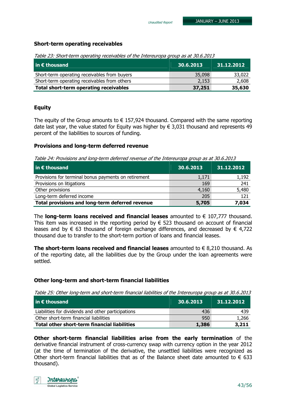#### Short-term operating receivables

Table 23: Short-term operating receivables of the Intereuropa group as at 30.6.2013

| $\vert$ in $\epsilon$ thousand               | 30.6.2013 | 31.12.2012 |
|----------------------------------------------|-----------|------------|
| Short-term operating receivables from buyers | 35,098    | 33,022     |
| Short-term operating receivables from others | 2,153     | 2,608      |
| Total short-term operating receivables       | 37,251    | 35,630     |

#### Equity

The equity of the Group amounts to  $\epsilon$  157,924 thousand. Compared with the same reporting date last year, the value stated for Equity was higher by  $\epsilon$  3,031 thousand and represents 49 percent of the liabilities to sources of funding.

#### Provisions and long-term deferred revenue

Table 24: Provisions and long-term deferred revenue of the Intereuropa group as at 30.6.2013

| $\mathsf{in} \in \mathsf{thousand}$                  | 30.6.2013 | 31.12.2012 |
|------------------------------------------------------|-----------|------------|
| Provisions for terminal bonus payments on retirement | 1,171     | 1,192      |
| Provisions on litigations                            | 169       | 241        |
| Other provisions                                     | 4,160     | 5,480      |
| Long-term deferred income                            | 205       | 121        |
| Total provisions and long-term deferred revenue      | 5,705     | 7,034      |

The **long-term loans received and financial leases** amounted to  $\epsilon$  107,777 thousand. This item was increased in the reporting period by  $\epsilon$  523 thousand on account of financial leases and by  $\epsilon$  63 thousand of foreign exchange differences, and decreased by  $\epsilon$  4.722 thousand due to transfer to the short-term portion of loans and financial leases.

The short-term loans received and financial leases amounted to  $\epsilon$  8,210 thousand. As of the reporting date, all the liabilities due by the Group under the loan agreements were settled.

#### Other long-term and short-term financial liabilities

Table 25: Other long-term and short-term financial liabilities of the Intereuropa group as at 30.6.2013

| $\vert$ in $\bm{\epsilon}$ thousand                | 30.6.2013 | 31.12.2012 |
|----------------------------------------------------|-----------|------------|
| Liabilities for dividends and other participations | 436       | 439        |
| Other short-term financial liabilities             | 950       | 1,266      |
| Total other short-term financial liabilities       | 1,386     | 3,211      |

Other short-term financial liabilities arise from the early termination of the derivative financial instrument of cross-currency swap with currency option in the year 2012 (at the time of termination of the derivative, the unsettled liabilities were recognized as Other short-term financial liabilities that as of the Balance sheet date amounted to  $\epsilon$  633 thousand).

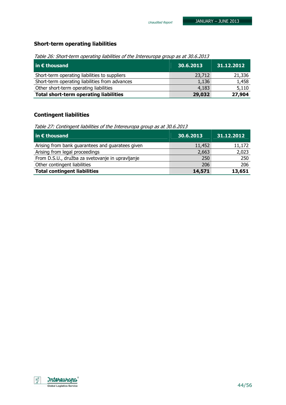#### Short-term operating liabilities

Table 26: Short-term operating liabilities of the Intereuropa group as at 30.6.2013

| $\overline{\mathsf{in}}$ Ethousand             | 30.6.2013 | 31.12.2012 |
|------------------------------------------------|-----------|------------|
| Short-term operating liabilities to suppliers  | 23,712    | 21,336     |
| Short-term operating liabilities from advances | 1,136     | 1,458      |
| Other short-term operating liabilities         | 4,183     | 5,110      |
| <b>Total short-term operating liabilities</b>  | 29,032    | 27,904     |

### Contingent liabilities

Table 27: Contingent liabilities of the Intereuropa group as at 30.6.2013

| $\vert$ in $\epsilon$ thousand                   | 30.6.2013 | 31.12.2012 |
|--------------------------------------------------|-----------|------------|
| Arising from bank guarantees and guaratees given | 11,452    | 11,172     |
| Arising from legal proceedings                   | 2,663     | 2,023      |
| From D.S.U., družba za svetovanje in upravljanje | 250       | 250        |
| Other contingent liabilities                     | 206       | 206        |
| <b>Total contingent liabilities</b>              | 14,571    | 13,651     |

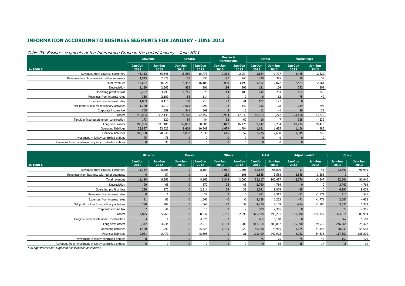#### INFORMATION ACCORDING TO BUSINESS SEGMENTS FOR JANUARY - JUNE 2013

|                                                         | <b>Slovenia</b> |                 | <b>Croatia</b>  |                 | <b>Bosnia &amp;</b><br>Herzegovina |                 | <b>Serbia</b>   |                 | <b>Montenegro</b> |                 |
|---------------------------------------------------------|-----------------|-----------------|-----------------|-----------------|------------------------------------|-----------------|-----------------|-----------------|-------------------|-----------------|
| in 1000 $\epsilon$                                      | Jan-Jun<br>2013 | Jan-Jun<br>2012 | Jan-Jun<br>2013 | Jan-Jun<br>2012 | Jan-Jun<br>2013                    | Jan-Jun<br>2012 | Jan-Jun<br>2013 | Jan-Jun<br>2012 | Jan-Jun<br>2013   | Jan-Jun<br>2012 |
| Revenues from external customers                        | 46,152          | 55,646          | 15,280          | 15,773          | 2,833                              | 2,954           | 1,624           | 1,727           | 2,445             | 2,522           |
| Revenues from business with other segments              | 1,515           | 2,379           | 187             | 333             | 197                                | 240             | 328             | 345             | 78                | 39              |
| Total revenues                                          | 47,667          | 58,026          | 15,467          | 16,106          | 3,030                              | 3,193           | 1,952           | 2,072           | 2,523             | 2,561           |
| Depreciation                                            | 2,130           | 2,363           | 885             | 991             | 194                                | 203             | 121             | 124             | 292               | 302             |
| Operating profit or loss                                | 2,497           | 3,793           | 1,745           | 1,876           | 114                                | 183             | 242             | 263             | 164               | 248             |
| Revenues from interest rates                            | 336             | 2,109           | 55              | 114             | $\Omega$                           | 0               |                 | 12              | 75                | 49              |
| Expenses from interest rates                            | 1,853           | 4,115           | 100             | 210             | 22                                 | 41              | 102             | 127             | $\Omega$          | $\mathbf 0$     |
| Net profit or loss from ordinary activities             | 1,780           | 3,210           | 1,676           | 1,792           | 92                                 | 142             | 132             | $-128$          | 239               | 297             |
| Corporate income tax                                    | 368             | 1,389           | 341             | 369             | 9                                  | 15              | 12              | $-1$            | 39                | 31              |
| Assets                                                  | 245,055         | 302,135         | 71,728          | 72,452          | 16,964                             | 17,539          | 10,553          | 10,272          | 23,458            | 23,279          |
| Tangible fixed assets under construction                | 173             | 120             | 89              | 84              | 52                                 | 60              | 16              |                 | 328               | 239             |
| Long-term assets                                        | 203,964         | 241,105         | 59,892          | 60,686          | 15,847                             | 16,176          | 9,442           | 9,254           | 18,734            | 19,426          |
| Operating liabilities                                   | 33,897          | 33,525          | 9,469           | 10,549          | 1,639                              | 1,784           | 1,631           | 1,485           | 1,156             | 985             |
| <b>Financial liabilities</b>                            | 109,300         | 178,948         | 5,832           | 7,836           | 615                                | 1,052           | 2,236           | 2,658           | 1,345             | 1,340           |
| Investment in jointly controlled entities               | 75              | 75              | $\Omega$        |                 | $\Omega$                           | 0               |                 | 0               | $\Omega$          | 0               |
| Revenues from investment in jointly controlled entities | $\Omega$        | 35              | $\Omega$        |                 | $\Omega$                           | $\Omega$        |                 | $\Omega$        | $\Omega$          | $\mathbf{0}$    |

Table 28: Business segments of the Intereuropa Group in the period January – June 2013

|                                                         | <b>Ukraine</b>  |                 | <b>Russia</b>   |                 | <b>Others</b>   |                 | <b>Total</b>    |                 | Adjustments*    |                 | <b>Group</b>    |                 |
|---------------------------------------------------------|-----------------|-----------------|-----------------|-----------------|-----------------|-----------------|-----------------|-----------------|-----------------|-----------------|-----------------|-----------------|
| in 1000 €                                               | Jan-Jun<br>2013 | Jan-Jun<br>2012 | Jan-Jun<br>2013 | Jan-Jun<br>2012 | Jan-Jun<br>2013 | Jan-Jun<br>2012 | Jan-Jun<br>2013 | Jan-Jun<br>2012 | Jan-Jun<br>2013 | Jan-Jun<br>2012 | Jan-Jun<br>2013 | Jan-Jun<br>2012 |
| Revenues from external customers                        | 11,134          | 8,308           |                 | 8,164           | 3,061           | 1,805           | 82,529          | 96,899          | 11              | 41              | 82,541          | 96,940          |
| Revenues from business with other segments              |                 | 57              |                 |                 | 283             | 195             | 2,588           | 3,588           | $-2,588$        | $-3,588$        |                 | 0               |
| Total revenues                                          | 11,134          | 8,365           |                 | 8,165           | 3,343           | 2,000           | 85,117          | 100,487         | $-2,576$        | $-3,547$        | 82,541          | 96,940          |
| Depreciation                                            | 90              | 68              |                 | 670             | 28              | 43              | 3,740           | 4,764           |                 | $\Omega$        | 3,740           | 4,764           |
| Operating profit or loss                                | 290             | 170             |                 | 2,514           | 39              | 32              | 5,091           | 9,079           | $-95$           | $\Omega$        | 4,996           | 9,079           |
| Revenues from interest rates                            |                 |                 |                 | 27              |                 | $\Omega$        | 481             | 2,312           | $-71$           | $-1,771$        | 410             | 541             |
| Expenses from interest rates                            | 81              | 88              |                 | 1,642           |                 | -0              | 2,158           | 6,223           | $-71$           | $-1,771$        | 2,087           | 4,452           |
| Net profit or loss from ordinary activities             | 290             | 202             |                 | 1,562           | 42              | 32              | 4,250           | 7,109           | $-914$          | $-1,786$        | 3,336           | 5,323           |
| Corporate income tax                                    | 57              | 44              |                 | 516             |                 |                 | 829             | 2,365           |                 |                 | 829             | 2,365           |
| Assets                                                  | 4,875           | 5,768           |                 | 58,837          | 3,181           | 2,999           | 375,815         | 493,281         | $-51,800$       | $-104,347$      | 324,014         | 388,934         |
| Tangible fixed assets under construction                |                 | $\overline{4}$  |                 | 4,626           |                 | $\Omega$        | 662             | 5,140           |                 |                 | 662             | 5,140           |
| Long-term assets                                        | 3,342           | 4,244           |                 | 52,916          | 1,133           | 1,200           | 312,354         | 405,007         | $-65,390$       | -79,579         | 246,964         | 325,427         |
| Operating liabilities                                   | 1,430           | 1,290           |                 | 25,428          | 1,135           | 920             | 50,358          | 75,965          | $-1,625$        | $-21,397$       | 48,733          | 54,568          |
| <b>Financial liabilities</b>                            | 2,081           | 2,472           |                 | 48,595          |                 | 21              | 121,409         | 242,922         | $-4,052$        | $-54,633$       | 117,357         | 188,290         |
| Investment in jointly controlled entities               |                 | 0               |                 | $\Omega$        |                 | $\Omega$        | 75              | 75              | 75              | 44              | 150             | 120             |
| Revenues from investment in jointly controlled entities |                 | 0               |                 | $\Omega$        |                 | 0               |                 | 35              | 15              | $-17$           | 15              | 19              |

\* All adjustments are subject to consolidation procedures.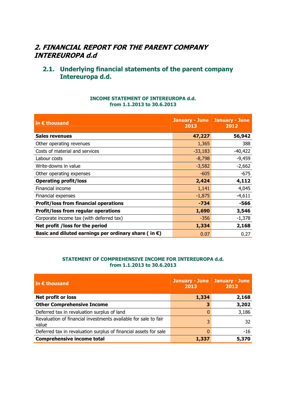# 2. FINANCIAL REPORT FOR THE PARENT COMPANY INTEREUROPA d.d

# 2.1. Underlying financial statements of the parent company Intereuropa d.d.

#### INCOME STATEMENT OF INTEREUROPA d.d. from 1.1.2013 to 30.6.2013

| in $\epsilon$ thousand                                         | 2013      | January - June   January - June<br>2012 |
|----------------------------------------------------------------|-----------|-----------------------------------------|
| <b>Sales revenues</b>                                          | 47,227    | 56,942                                  |
| Other operating revenues                                       | 1,365     | 388                                     |
| Costs of material and services                                 | $-33,183$ | $-40,422$                               |
| Labour costs                                                   | $-8,798$  | $-9,459$                                |
| Write-downs in value                                           | $-3,582$  | $-2,662$                                |
| Other operating expenses                                       | $-605$    | $-675$                                  |
| <b>Operating profit/loss</b>                                   | 2,424     | 4,112                                   |
| Financial income                                               | 1,141     | 4,045                                   |
| Financial expenses                                             | $-1,875$  | $-4,611$                                |
| <b>Profit/loss from financial operations</b>                   | $-734$    | -566                                    |
| <b>Profit/loss from regular operations</b>                     | 1,690     | 3,546                                   |
| Corporate income tax (with deferred tax)                       | $-356$    | $-1,378$                                |
| Net profit /loss for the period                                | 1,334     | 2,168                                   |
| Basic and diluted earnings per ordinary share (in $\epsilon$ ) | 0.07      | 0.27                                    |

#### STATEMENT OF COMPREHENSIVE INCOME FOR INTEREUROPA d.d. from 1.1.2013 to 30.6.2013

| in $\epsilon$ thousand                                                   | January - June January - June<br>2013 | 2012  |
|--------------------------------------------------------------------------|---------------------------------------|-------|
| <b>Net profit or loss</b>                                                | 1,334                                 | 2,168 |
| <b>Other Comprehensive Income</b>                                        |                                       | 3,202 |
| Deferred tax in revaluation surplus of land                              |                                       | 3,186 |
| Revaluation of financial investments available for sale to fair<br>value | 3                                     | 32    |
| Deferred tax in revaluation surplus of financial assets for sale         |                                       | $-16$ |
| <b>Comprehensive income total</b>                                        | 1,337                                 | 5,370 |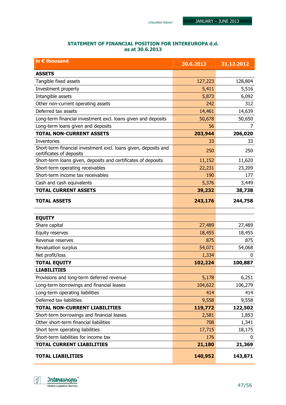#### STATEMENT OF FINANCIAL POSITION FOR INTEREUROPA d.d. as at 30.6.2013

| in € thousand                                                                               | 30.6.2013 | 31.12.2012 |
|---------------------------------------------------------------------------------------------|-----------|------------|
| <b>ASSETS</b>                                                                               |           |            |
| Tangible fixed assets                                                                       | 127,223   | 128,804    |
| Investment property                                                                         | 5,411     | 5,516      |
| Intangible assets                                                                           | 5,873     | 6,092      |
| Other non-current operating assets                                                          | 242       | 312        |
| Deferred tax assets                                                                         | 14,461    | 14,639     |
| Long-term financial investment excl. loans given and deposits                               | 50,678    | 50,650     |
| Long-term loans given and deposits                                                          | 56        | 7          |
| <b>TOTAL NON-CURRENT ASSETS</b>                                                             | 203,944   | 206,020    |
| Inventories                                                                                 | 33        | 33         |
| Short-term financial investment excl. loans given, deposits and<br>certificates of deposits | 250       | 250        |
| Short-term loans given, deposits and certificates of deposits                               | 11,152    | 11,620     |
| Short-term operating receivables                                                            | 22,231    | 23,209     |
| Short-term income tax receivables                                                           | 190       | 177        |
| Cash and cash equivalents                                                                   | 5,376     | 3,449      |
| <b>TOTAL CURRENT ASSETS</b>                                                                 | 39,232    | 38,738     |
| <b>TOTAL ASSETS</b>                                                                         | 243,176   | 244,758    |
| <b>EQUITY</b>                                                                               |           |            |
| Share capital                                                                               | 27,489    | 27,489     |
| Equity reserves                                                                             | 18,455    | 18,455     |
| Revenue reserves                                                                            | 875       | 875        |
| Revaluation surplus                                                                         | 54,071    | 54,068     |
| Net profit/loss                                                                             | 1,334     | 0          |
| <b>TOTAL EQUITY</b>                                                                         | 102,224   | 100,887    |
| <b>LIABILITIES</b>                                                                          |           |            |
| Provisions and long-term deferred revenue                                                   | 5,178     | 6,251      |
| Long-term borrowings and financial leases                                                   | 104,622   | 106,279    |
| Long-term operating liabilities                                                             | 414       | 414        |
| Deferred tax liabilities                                                                    | 9,558     | 9,558      |
| <b>TOTAL NON-CURRENT LIABILITIES</b>                                                        | 119,772   | 122,502    |
| Short-term borrowings and financial leases                                                  | 2,581     | 1,853      |
| Other short-term financial liabilities                                                      | 708       | 1,341      |
| Short term operating liabilities                                                            | 17,715    | 18,175     |
| Short-term liabilities for income tax                                                       | 176       | 0          |
| <b>TOTAL CURRENT LIABILITIES</b>                                                            | 21,180    | 21,369     |
| <b>TOTAL LIABILITIES</b>                                                                    | 140,952   | 143,871    |

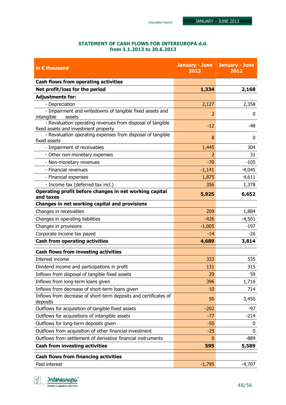#### STATEMENT OF CASH FLOWS FOR INTEREUROPA d.d. from 1.1.2013 to 30.6.2013

| in € thousand                                                                                      | January - June<br>2013 | <b>January - June</b><br>2012 |
|----------------------------------------------------------------------------------------------------|------------------------|-------------------------------|
| Cash flows from operating activities                                                               |                        |                               |
| Net profit/loss for the period                                                                     | 1,334                  | 2,168                         |
| <b>Adjustments for:</b>                                                                            |                        |                               |
| - Depreciation                                                                                     | 2,127                  | 2,358                         |
| - Impairment and writedowns of tangible fixed assets and<br>intangible<br>assets                   | 2                      | 0                             |
| - Revaluation operating revenues from disposal of tangible<br>fixed assets and investment property | $-12$                  | -48                           |
| - Revaluation operating expenses from disposal of tangible<br>fixed assets                         | 8                      | 0                             |
| - Impairment of receivables                                                                        | 1,445                  | 304                           |
| - Other non-monetary expenses                                                                      | 2                      | 31                            |
| - Non-monetary revenues                                                                            | $-70$                  | $-105$                        |
| - Financial revenues                                                                               | $-1,141$               | $-4,045$                      |
| - Financial expenses                                                                               | 1,875                  | 4,611                         |
| - Income tax (deferred tax incl.)                                                                  | 356                    | 1,378                         |
| Operating profit before changes in net working capital<br>and taxes                                | 5,925                  | 6,652                         |
| Changes in net working capital and provisions                                                      |                        |                               |
| Changes in receivables                                                                             | 209                    | 1,884                         |
| Changes in operating liabilities                                                                   | $-426$                 | $-4,501$                      |
| Changes in provisions                                                                              | $-1,005$               | $-197$                        |
| Corporate income tax payed                                                                         | $-14$                  | $-26$                         |
| <b>Cash from operating activities</b>                                                              | 4,689                  | 3,814                         |
| <b>Cash flows from investing activities</b>                                                        |                        |                               |
| Interest income                                                                                    | 333                    | 535                           |
| Dividend income and participations in profit                                                       | 131                    | 315                           |
| Inflows from disposal of tangible fixed assets                                                     | 29                     | 59                            |
| Inflows from long-term loans given                                                                 | 396                    | 1,716                         |
| Inflows from decrease of short-term loans given                                                    | 10                     | 714                           |
| Inflows from decrease of short-term deposits and certificates of<br>deposits                       | 50                     | 3,450                         |
| Outflows for acquisition of tangible fixed assets                                                  | $-202$                 | $-97$                         |
| Outflows for acquisitions of intangible assets                                                     | $-77$                  | $-214$                        |
| Outflows for long-term deposits given                                                              | $-50$                  | 0                             |
| Outflows from acquisition of other financial investment                                            | $-25$                  | $\mathbf{0}$                  |
| Outflows from settlement of derivative financial instruments                                       | $\mathbf{0}$           | $-889$                        |
| <b>Cash from investing activities</b>                                                              | 595                    | 5,589                         |
| <b>Cash flows from financing activities</b>                                                        |                        |                               |
| Paid interest                                                                                      | $-1,795$               | -4,707                        |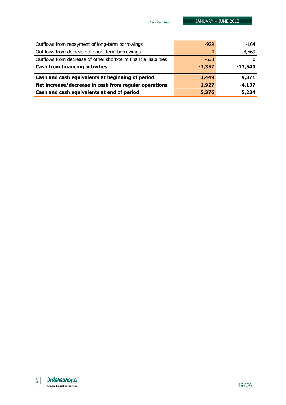| Outflows from repayment of long-term borrowings                  | $-929$   | $-164$    |
|------------------------------------------------------------------|----------|-----------|
| Outflows from decrease of short-term borrowings                  |          | $-8,669$  |
| Outflows from decrease of other short-term financial liabilities | $-633$   |           |
| <b>Cash from financing activities</b>                            | $-3,357$ | $-13,540$ |
| Cash and cash equivalents at beginning of period                 | 3,449    | 9,371     |
| Net increase/decrease in cash from regular operations            | 1,927    | $-4,137$  |
| Cash and cash equivalents at end of period                       | 5,376    | 5,234     |

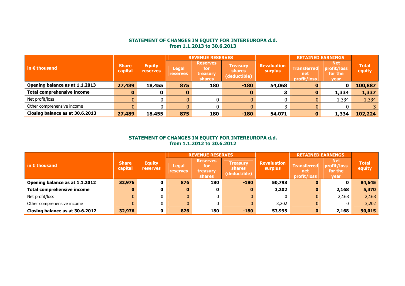# STATEMENT OF CHANGES IN EQUITY FOR INTEREUROPA d.d. from 1.1.2013 to 30.6.2013

|                                     |                         |                           |                          | <b>REVENUE RESERVES</b>                             |                                                  |                               | <b>RETAINED EARNINGS</b>                 |                                              |                        |
|-------------------------------------|-------------------------|---------------------------|--------------------------|-----------------------------------------------------|--------------------------------------------------|-------------------------------|------------------------------------------|----------------------------------------------|------------------------|
| $\mathsf{in} \in \mathsf{thousand}$ | <b>Share</b><br>capital | <b>Equity</b><br>reserves | Legal<br><b>reserves</b> | <b>Reserves</b><br>for<br>treasury<br><b>shares</b> | <b>Treasury</b><br><b>shares</b><br>(deductible) | <b>Revaluation</b><br>surplus | <b>Transferred</b><br>net<br>profit/loss | <b>Net</b><br>profit/loss<br>for the<br>year | <b>Total</b><br>equity |
| Opening balance as at 1.1.2013      | 27,489                  | 18,455                    | 875                      | 180                                                 | $-180$                                           | 54,068                        | $\bf{0}$                                 | 0                                            | 100,887                |
| <b>Total comprehensive income</b>   |                         | 0                         | 0                        |                                                     | 0                                                |                               | 0                                        | 1,334                                        | 1,337                  |
| Net profit/loss                     |                         |                           | $\mathbf{0}$             |                                                     | 0                                                |                               | $\mathbf{0}$                             | 1,334                                        | 1,334                  |
| Other comprehensive income          |                         |                           | $\mathbf{0}$             |                                                     | 0                                                |                               |                                          | 0                                            |                        |
| Closing balance as at 30.6.2013     | 27,489                  | 18,455                    | 875                      | 180                                                 | $-180$                                           | 54,071                        | $\bf{0}$                                 | 1,334                                        | 102,224                |

#### STATEMENT OF CHANGES IN EQUITY FOR INTEREUROPA d.d.from 1.1.2012 to 30.6.2012

|                                   |                         |                                  |                          | <b>REVENUE RESERVES</b>                             | <b>RETAINED EARNINGS</b>                         |                               |                                          |                                                     |                        |
|-----------------------------------|-------------------------|----------------------------------|--------------------------|-----------------------------------------------------|--------------------------------------------------|-------------------------------|------------------------------------------|-----------------------------------------------------|------------------------|
| in $\epsilon$ thousand            | <b>Share</b><br>capital | <b>Equity</b><br><b>reserves</b> | <b>Legal</b><br>reserves | <b>Reserves</b><br>for<br>treasury<br><b>shares</b> | <b>Treasury</b><br><b>shares</b><br>(deductible) | <b>Revaluation</b><br>surplus | <b>Transferred</b><br>net<br>profit/loss | <b>Net</b><br>profit/loss<br>for the<br><b>vear</b> | <b>Total</b><br>equity |
| Opening balance as at 1.1.2012    | 32,976                  | 0                                | 876                      | 180                                                 | $-180$                                           | 50,793                        | $\mathbf{0}$                             | 0                                                   | 84,645                 |
| <b>Total comprehensive income</b> | 0                       | 0                                | 0                        |                                                     | 0                                                | 3,202                         | $\mathbf{0}$                             | 2,168                                               | 5,370                  |
| Net profit/loss                   |                         |                                  | $\mathbf{0}$             |                                                     | $\mathbf{0}$                                     |                               |                                          | 2,168                                               | 2,168                  |
| Other comprehensive income        |                         |                                  | $\mathbf{0}$             |                                                     | $\mathbf{0}$                                     | 3,202                         |                                          | $\bf{0}$                                            | 3,202                  |
| Closing balance as at 30.6.2012   | 32,976                  | o                                | 876                      | 180                                                 | $-180$                                           | 53,995                        | $\mathbf{0}$                             | 2,168                                               | 90,015                 |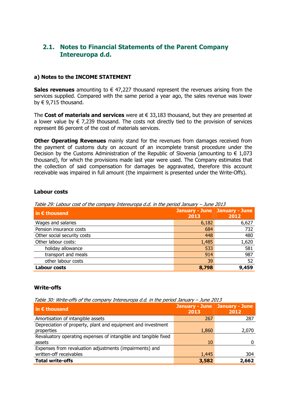# 2.1. Notes to Financial Statements of the Parent Company Intereuropa d.d.

#### a) Notes to the INCOME STATEMENT

Sales revenues amounting to  $\epsilon$  47,227 thousand represent the revenues arising from the services supplied. Compared with the same period a year ago, the sales revenue was lower by  $\in$  9,715 thousand.

The Cost of materials and services were at  $\epsilon$  33,183 thousand, but they are presented at a lower value by  $\epsilon$  7,239 thousand. The costs not directly tied to the provision of services represent 86 percent of the cost of materials services.

**Other Operating Revenues** mainly stand for the revenues from damages received from the payment of customs duty on account of an incomplete transit procedure under the Decision by the Customs Administration of the Republic of Slovenia (amounting to  $\epsilon$  1,073 thousand), for which the provisions made last year were used. The Company estimates that the collection of said compensation for damages be aggravated, therefore this account receivable was impaired in full amount (the impairment is presented under the Write-Offs).

#### Labour costs

Table 29: Labour cost of the company Intereuropa d.d. in the period January – June 2013

| $\vert$ in $\epsilon$ thousand | 2013  | January - June January - June<br>2012 |
|--------------------------------|-------|---------------------------------------|
| Wages and salaries             | 6,182 | 6,627                                 |
| Pension insurance costs        | 684   | 732                                   |
| Other social security costs    | 448   | 480                                   |
| Other labour costs:            | 1,485 | 1,620                                 |
| holiday allowance              | 533   | 581                                   |
| transport and meals            | 914   | 987                                   |
| other labour costs             | 39    | 52                                    |
| Labour costs                   | 8,798 | 9,459                                 |

#### Write-offs

Table 30: Write-offs of the company Intereuropa d.d. in the period January – June 2013

| in $\epsilon$ thousand                                          | <b>January - June January - June</b><br>2013 | 2012  |
|-----------------------------------------------------------------|----------------------------------------------|-------|
| Amortisation of intangible assets                               | 267                                          | 287   |
| Depreciation of property, plant and equipment and investment    |                                              |       |
| properties                                                      | 1,860                                        | 2,070 |
| Revaluatory operating expenses of intangible and tangible fixed |                                              |       |
| assets                                                          | 10                                           |       |
| Expenses from revaluation adjustments (impairments) and         |                                              |       |
| written-off receivables                                         | 1,445                                        | 304   |
| <b>Total write-offs</b>                                         | 3,582                                        | 2,662 |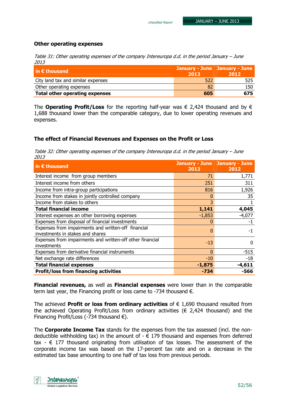#### Other operating expenses

Table 31: Other operating expenses of the company Intereuropa d.d. in the period January – June 2013

| $\overline{\mathsf{in}}$ E thousand   | January - June January - June<br>-2013 | 2012 |
|---------------------------------------|----------------------------------------|------|
| City land tax and similar expenses    | 522                                    | 525  |
| Other operating expenses              | 82                                     | 150  |
| <b>Total other operating expenses</b> | 605                                    | 675  |

The **Operating Profit/Loss** for the reporting half-year was  $\in$  2,424 thousand and by  $\in$ 1,688 thousand lower than the comparable category, due to lower operating revenues and expenses.

#### The effect of Financial Revenues and Expenses on the Profit or Loss

Table 32: Other operating expenses of the company Intereuropa d.d. in the period January – June 2013

| in $\epsilon$ thousand                                                                  | <b>January - June January - June</b><br>2013 | 2012     |
|-----------------------------------------------------------------------------------------|----------------------------------------------|----------|
| Interest income from group members                                                      | 71                                           | 1,771    |
| Interest income from others                                                             | 251                                          | 311      |
| Income from intra-group participations                                                  | 816                                          | 1,926    |
| Income from stakes in jointly controlled company                                        | 0                                            | 35       |
| Income from stakes to others                                                            | 3                                            |          |
| <b>Total financial income</b>                                                           | 1,141                                        | 4,045    |
| Interest expenses an other borrowing expenses                                           | $-1,853$                                     | $-4,077$ |
| Expenses from disposal of financial investments                                         | 0                                            | -1       |
| Expenses from impairments and written-off financial<br>investments in stakes and shares | 0                                            | -1       |
| Expenses from impairments and written-off other financial<br>investments                | $-13$                                        | 0        |
| Expenses from derivative financial instruments                                          | $\bf{0}$                                     | $-515$   |
| Net exchange rate differences                                                           | $-10$                                        | -18      |
| <b>Total financial expenses</b>                                                         | $-1,875$                                     | $-4,611$ |
| <b>Profit/loss from financing activities</b>                                            | -734                                         | -566     |

Financial revenues, as well as Financial expenses were lower than in the comparable term last year, the Financing profit or loss came to -734 thousand €.

The achieved Profit or loss from ordinary activities of  $\epsilon$  1,690 thousand resulted from the achieved Operating Profit/Loss from ordinary activities (€ 2,424 thousand) and the Financing Profit/Loss (-734 thousand €).

The **Corporate Income Tax** stands for the expenses from the tax assessed (incl. the nondeductible withholding tax) in the amount of  $-\epsilon$  179 thousand and expenses from deferred tax  $\epsilon$  177 thousand originating from utilisation of tax losses. The assessment of the corporate income tax was based on the 17-percent tax rate and on a decrease in the estimated tax base amounting to one half of tax loss from previous periods.

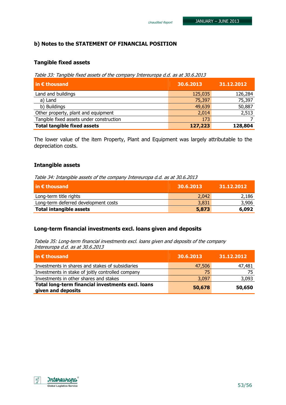#### b) Notes to the STATEMENT OF FINANCIAL POSITION

#### Tangible fixed assets

Table 33: Tangible fixed assets of the company Intereuropa d.d. as at 30.6.2013

| $\vert$ in $\epsilon$ thousand           | 30.6.2013 | 31.12.2012 |
|------------------------------------------|-----------|------------|
| Land and buildings                       | 125,035   | 126,284    |
| a) Land                                  | 75,397    | 75,397     |
| b) Buildings                             | 49,639    | 50,887     |
| Other property, plant and equipment      | 2,014     | 2,513      |
| Tangible fixed assets under construction | 173       |            |
| <b>Total tangible fixed assets</b>       | 127,223   | 128,804    |

The lower value of the item Property, Plant and Equipment was largely attributable to the depreciation costs.

#### Intangible assets

Table 34: Intangible assets of the company Intereuropa d.d. as at 30.6.2013

| $\mathsf I$ in $\bm{\epsilon}$ thousand | 30.6.2013 | 31.12.2012 |
|-----------------------------------------|-----------|------------|
| Long-term title rights                  | 2,042     | 2,186      |
| Long-term deferred development costs    | 3,831     | 3,906      |
| <b>Total intangible assets</b>          | 5,873     | 6,092      |

#### Long-term financial investments excl. loans given and deposits

Tabela 35: Long-term financial investments excl. loans given and deposits of the company Intereuropa d.d. as at 30.6.2013

| $\mathsf{I}$ in $\boldsymbol{\epsilon}$ thousand                        | 30.6.2013 | 31.12.2012 |
|-------------------------------------------------------------------------|-----------|------------|
| Investments in shares and stakes of subsidiaries                        | 47,506    | 47,481     |
| Investments in stake of joitly controlled company                       | 75        | 75         |
| Investments in other shares and stakes                                  | 3,097     | 3,093      |
| Total long-term financial investments excl. loans<br>given and deposits | 50,678    | 50,650     |

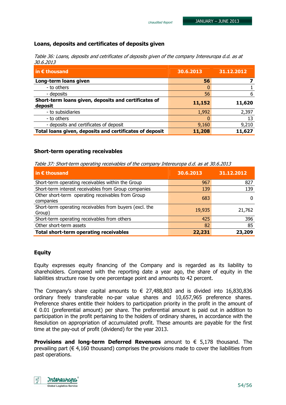#### Loans, deposits and certificates of deposits given

| Table 36: Loans, deposits and cetrificates of deposits given of the company Intereuropa d.d. as at |  |
|----------------------------------------------------------------------------------------------------|--|
| <i>30.6.2013</i>                                                                                   |  |

| $\vert$ in $\epsilon$ thousand                                  | 30.6.2013 | 31.12.2012 |
|-----------------------------------------------------------------|-----------|------------|
| Long-term loans given                                           | 56        |            |
| - to others                                                     |           |            |
| - deposits                                                      | 56        | 6          |
| Short-term loans given, deposits and certificates of<br>deposit | 11,152    | 11,620     |
| - to subsidiaries                                               | 1,992     | 2,397      |
| - to others                                                     |           | 13         |
| - deposits and certificates of deposit                          | 9,160     | 9,210      |
| Total loans given, deposits and certificates of deposit         | 11,208    | 11,627     |

#### Short-term operating receivables

Table 37: Short-term operating receivables of the company Intereuropa d.d. as at 30.6.2013

| in $\epsilon$ thousand                                            | 30.6.2013 | 31.12.2012 |
|-------------------------------------------------------------------|-----------|------------|
| Short-term operating receivables within the Group                 | 967       | 827        |
| Short-term interest receivables from Group companies              | 139       | 139        |
| Other short-term operating receivables from Group<br>companies    | 683       |            |
| Short-term operating receivables from buyers (excl. the<br>Group) | 19,935    | 21,762     |
| Short-term operating receivables from others                      | 425       | 396        |
| Other short-term assets                                           | 82        | 85         |
| Total short-term operating receivables                            | 22,231    | 23,209     |

#### Equity

Equity expresses equity financing of the Company and is regarded as its liability to shareholders. Compared with the reporting date a year ago, the share of equity in the liabilities structure rose by one percentage point and amounts to 42 percent.

The Company's share capital amounts to  $\epsilon$  27,488,803 and is divided into 16,830,836 ordinary freely transferable no-par value shares and 10,657,965 preference shares. Preference shares entitle their holders to participation priority in the profit in the amount of  $\epsilon$  0.01 (preferential amount) per share. The preferential amount is paid out in addition to participation in the profit pertaining to the holders of ordinary shares, in accordance with the Resolution on appropriation of accumulated profit. These amounts are payable for the first time at the pay-out of profit (dividend) for the year 2013.

**Provisions and long-term Deferred Revenues** amount to  $\epsilon$  5,178 thousand. The prevailing part ( $\epsilon$  4,160 thousand) comprises the provisions made to cover the liabilities from past operations.

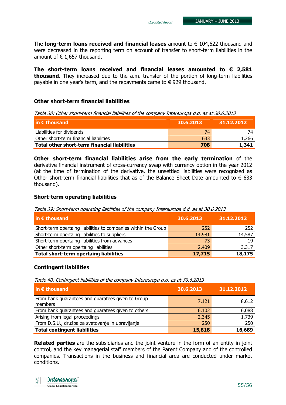The long-term loans received and financial leases amount to  $\epsilon$  104,622 thousand and were decreased in the reporting term on account of transfer to short-term liabilities in the amount of  $\epsilon$  1,657 thousand.

The short-term loans received and financial leases amounted to  $\epsilon$  2,581 thousand. They increased due to the a.m. transfer of the portion of long-term liabilities payable in one year's term, and the repayments came to  $\epsilon$  929 thousand.

#### Other short-term financial liabilities

Table 38: Other short-term financial liabilities of the company Intereuropa d.d. as at 30.6.2013

| l in $\bm{\epsilon}$ thousand                | 30.6.2013 | 31.12.2012 |
|----------------------------------------------|-----------|------------|
| Liabilities for dividends                    | 74        | 74         |
| Other short-term financial liabilities       | 633       | 1,266      |
| Total other short-term financial liabilities | 708       | 1,341      |

Other short-term financial liabilities arise from the early termination of the derivative financial instrument of cross-currency swap with currency option in the year 2012 (at the time of termination of the derivative, the unsettled liabilities were recognized as Other short-term financial liabilities that as of the Balance Sheet Date amounted to  $\epsilon$  633 thousand).

#### Short-term operating liabilities

| $\vert$ in $\epsilon$ thousand                                 | 30.6.2013 | 31.12.2012 |
|----------------------------------------------------------------|-----------|------------|
| Short-term opertaing liabilities to companies within the Group | 252       | 252        |
| Short-term opertaing liabilities to suppliers                  | 14,981    | 14,587     |
| Short-term opertaing liabilities from advances                 | 73        | 19         |
| Other short-term opertaing liabilities                         | 2,409     | 3,317      |
| <b>Total short-term opertaing liabilities</b>                  | 17,715    | 18,175     |

#### Contingent liabilities

Table 40: Contingent liabilities of the company Intereuropa d.d. as at 30.6.2013

| $\vert$ in $\epsilon$ thousand                               | 30.6.2013 | 31.12.2012 |
|--------------------------------------------------------------|-----------|------------|
| From bank guarantees and guaratees given to Group<br>members | 7,121     | 8,612      |
| From bank guarantees and guaratees given to others           | 6,102     | 6,088      |
| Arising from legal proceedings                               | 2,345     | 1,739      |
| From D.S.U., družba za svetovanje in upravljanje             | 250       | 250        |
| <b>Total contingent liabilities</b>                          | 15,818    | 16,689     |

Related parties are the subsidiaries and the joint venture in the form of an entity in joint control, and the key managerial staff members of the Parent Company and of the controlled companies. Transactions in the business and financial area are conducted under market conditions.